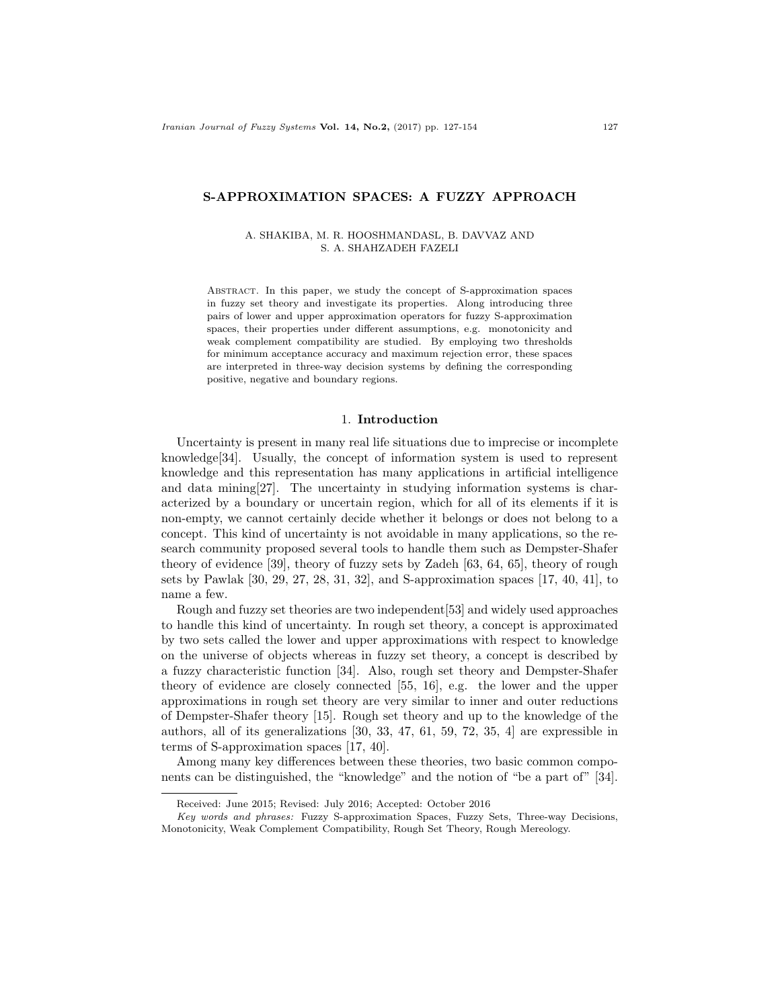# S-APPROXIMATION SPACES: A FUZZY APPROACH

### A. SHAKIBA, M. R. HOOSHMANDASL, B. DAVVAZ AND S. A. SHAHZADEH FAZELI

Abstract. In this paper, we study the concept of S-approximation spaces in fuzzy set theory and investigate its properties. Along introducing three pairs of lower and upper approximation operators for fuzzy S-approximation spaces, their properties under different assumptions, e.g. monotonicity and weak complement compatibility are studied. By employing two thresholds for minimum acceptance accuracy and maximum rejection error, these spaces are interpreted in three-way decision systems by defining the corresponding positive, negative and boundary regions.

# 1. Introduction

Uncertainty is present in many real life situations due to imprecise or incomplete knowledge[34]. Usually, the concept of information system is used to represent knowledge and this representation has many applications in artificial intelligence and data mining[27]. The uncertainty in studying information systems is characterized by a boundary or uncertain region, which for all of its elements if it is non-empty, we cannot certainly decide whether it belongs or does not belong to a concept. This kind of uncertainty is not avoidable in many applications, so the research community proposed several tools to handle them such as Dempster-Shafer theory of evidence [39], theory of fuzzy sets by Zadeh [63, 64, 65], theory of rough sets by Pawlak [30, 29, 27, 28, 31, 32], and S-approximation spaces [17, 40, 41], to name a few.

Rough and fuzzy set theories are two independent[53] and widely used approaches to handle this kind of uncertainty. In rough set theory, a concept is approximated by two sets called the lower and upper approximations with respect to knowledge on the universe of objects whereas in fuzzy set theory, a concept is described by a fuzzy characteristic function [34]. Also, rough set theory and Dempster-Shafer theory of evidence are closely connected [55, 16], e.g. the lower and the upper approximations in rough set theory are very similar to inner and outer reductions of Dempster-Shafer theory [15]. Rough set theory and up to the knowledge of the authors, all of its generalizations [30, 33, 47, 61, 59, 72, 35, 4] are expressible in terms of S-approximation spaces [17, 40].

Among many key differences between these theories, two basic common components can be distinguished, the "knowledge" and the notion of "be a part of" [34].

Received: June 2015; Revised: July 2016; Accepted: October 2016

Key words and phrases: Fuzzy S-approximation Spaces, Fuzzy Sets, Three-way Decisions, Monotonicity, Weak Complement Compatibility, Rough Set Theory, Rough Mereology.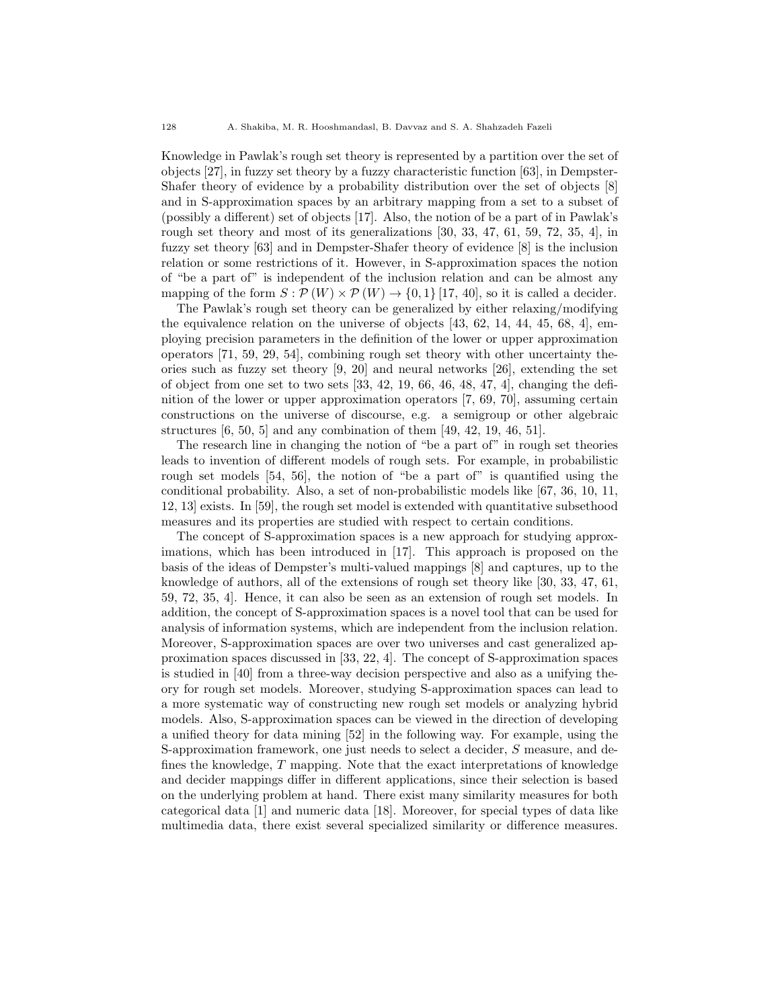Knowledge in Pawlak's rough set theory is represented by a partition over the set of objects [27], in fuzzy set theory by a fuzzy characteristic function [63], in Dempster-Shafer theory of evidence by a probability distribution over the set of objects [8] and in S-approximation spaces by an arbitrary mapping from a set to a subset of (possibly a different) set of objects [17]. Also, the notion of be a part of in Pawlak's rough set theory and most of its generalizations [30, 33, 47, 61, 59, 72, 35, 4], in fuzzy set theory [63] and in Dempster-Shafer theory of evidence [8] is the inclusion relation or some restrictions of it. However, in S-approximation spaces the notion of "be a part of" is independent of the inclusion relation and can be almost any mapping of the form  $S : \mathcal{P}(W) \times \mathcal{P}(W) \rightarrow \{0,1\}$  [17, 40], so it is called a decider.

The Pawlak's rough set theory can be generalized by either relaxing/modifying the equivalence relation on the universe of objects [43, 62, 14, 44, 45, 68, 4], employing precision parameters in the definition of the lower or upper approximation operators [71, 59, 29, 54], combining rough set theory with other uncertainty theories such as fuzzy set theory [9, 20] and neural networks [26], extending the set of object from one set to two sets  $[33, 42, 19, 66, 46, 48, 47, 4]$ , changing the definition of the lower or upper approximation operators [7, 69, 70], assuming certain constructions on the universe of discourse, e.g. a semigroup or other algebraic structures  $[6, 50, 5]$  and any combination of them  $[49, 42, 19, 46, 51]$ .

The research line in changing the notion of "be a part of" in rough set theories leads to invention of different models of rough sets. For example, in probabilistic rough set models [54, 56], the notion of "be a part of" is quantified using the conditional probability. Also, a set of non-probabilistic models like [67, 36, 10, 11, 12, 13] exists. In [59], the rough set model is extended with quantitative subsethood measures and its properties are studied with respect to certain conditions.

The concept of S-approximation spaces is a new approach for studying approximations, which has been introduced in [17]. This approach is proposed on the basis of the ideas of Dempster's multi-valued mappings [8] and captures, up to the knowledge of authors, all of the extensions of rough set theory like [30, 33, 47, 61, 59, 72, 35, 4]. Hence, it can also be seen as an extension of rough set models. In addition, the concept of S-approximation spaces is a novel tool that can be used for analysis of information systems, which are independent from the inclusion relation. Moreover, S-approximation spaces are over two universes and cast generalized approximation spaces discussed in [33, 22, 4]. The concept of S-approximation spaces is studied in [40] from a three-way decision perspective and also as a unifying theory for rough set models. Moreover, studying S-approximation spaces can lead to a more systematic way of constructing new rough set models or analyzing hybrid models. Also, S-approximation spaces can be viewed in the direction of developing a unified theory for data mining [52] in the following way. For example, using the S-approximation framework, one just needs to select a decider, S measure, and defines the knowledge, T mapping. Note that the exact interpretations of knowledge and decider mappings differ in different applications, since their selection is based on the underlying problem at hand. There exist many similarity measures for both categorical data [1] and numeric data [18]. Moreover, for special types of data like multimedia data, there exist several specialized similarity or difference measures.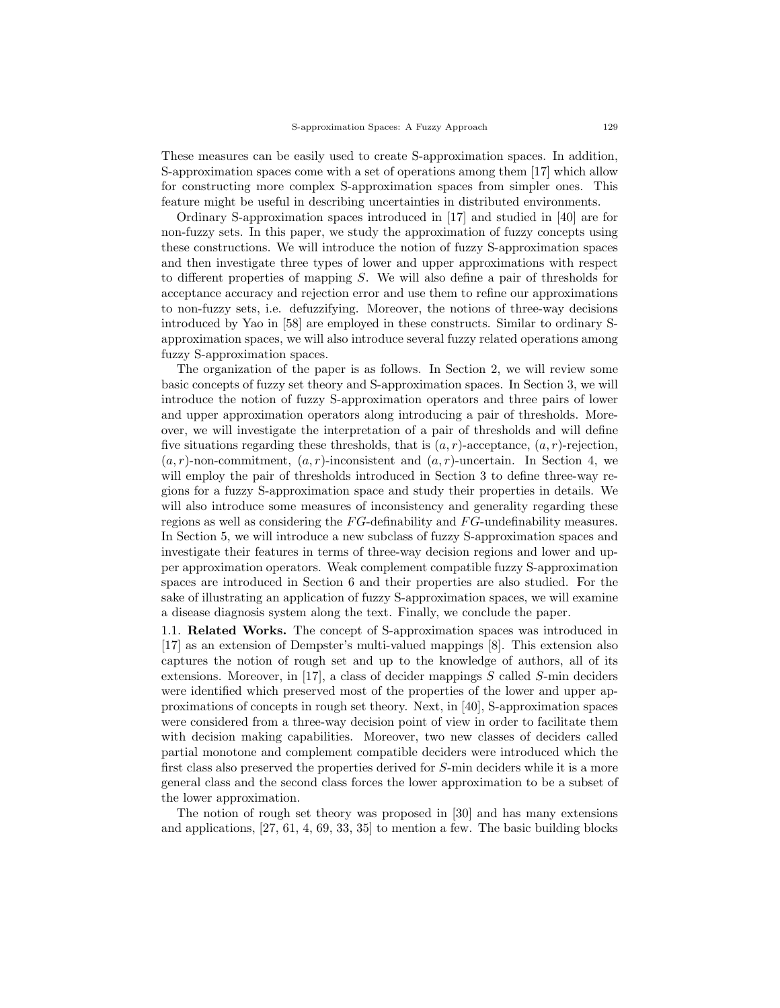These measures can be easily used to create S-approximation spaces. In addition, S-approximation spaces come with a set of operations among them [17] which allow for constructing more complex S-approximation spaces from simpler ones. This feature might be useful in describing uncertainties in distributed environments.

Ordinary S-approximation spaces introduced in [17] and studied in [40] are for non-fuzzy sets. In this paper, we study the approximation of fuzzy concepts using these constructions. We will introduce the notion of fuzzy S-approximation spaces and then investigate three types of lower and upper approximations with respect to different properties of mapping S. We will also define a pair of thresholds for acceptance accuracy and rejection error and use them to refine our approximations to non-fuzzy sets, i.e. defuzzifying. Moreover, the notions of three-way decisions introduced by Yao in [58] are employed in these constructs. Similar to ordinary Sapproximation spaces, we will also introduce several fuzzy related operations among fuzzy S-approximation spaces.

The organization of the paper is as follows. In Section 2, we will review some basic concepts of fuzzy set theory and S-approximation spaces. In Section 3, we will introduce the notion of fuzzy S-approximation operators and three pairs of lower and upper approximation operators along introducing a pair of thresholds. Moreover, we will investigate the interpretation of a pair of thresholds and will define five situations regarding these thresholds, that is  $(a, r)$ -acceptance,  $(a, r)$ -rejection,  $(a, r)$ -non-commitment,  $(a, r)$ -inconsistent and  $(a, r)$ -uncertain. In Section 4, we will employ the pair of thresholds introduced in Section 3 to define three-way regions for a fuzzy S-approximation space and study their properties in details. We will also introduce some measures of inconsistency and generality regarding these regions as well as considering the  $FG$ -definability and  $FG$ -undefinability measures. In Section 5, we will introduce a new subclass of fuzzy S-approximation spaces and investigate their features in terms of three-way decision regions and lower and upper approximation operators. Weak complement compatible fuzzy S-approximation spaces are introduced in Section 6 and their properties are also studied. For the sake of illustrating an application of fuzzy S-approximation spaces, we will examine a disease diagnosis system along the text. Finally, we conclude the paper.

1.1. Related Works. The concept of S-approximation spaces was introduced in [17] as an extension of Dempster's multi-valued mappings [8]. This extension also captures the notion of rough set and up to the knowledge of authors, all of its extensions. Moreover, in  $[17]$ , a class of decider mappings S called S-min deciders were identified which preserved most of the properties of the lower and upper approximations of concepts in rough set theory. Next, in [40], S-approximation spaces were considered from a three-way decision point of view in order to facilitate them with decision making capabilities. Moreover, two new classes of deciders called partial monotone and complement compatible deciders were introduced which the first class also preserved the properties derived for S-min deciders while it is a more general class and the second class forces the lower approximation to be a subset of the lower approximation.

The notion of rough set theory was proposed in [30] and has many extensions and applications, [27, 61, 4, 69, 33, 35] to mention a few. The basic building blocks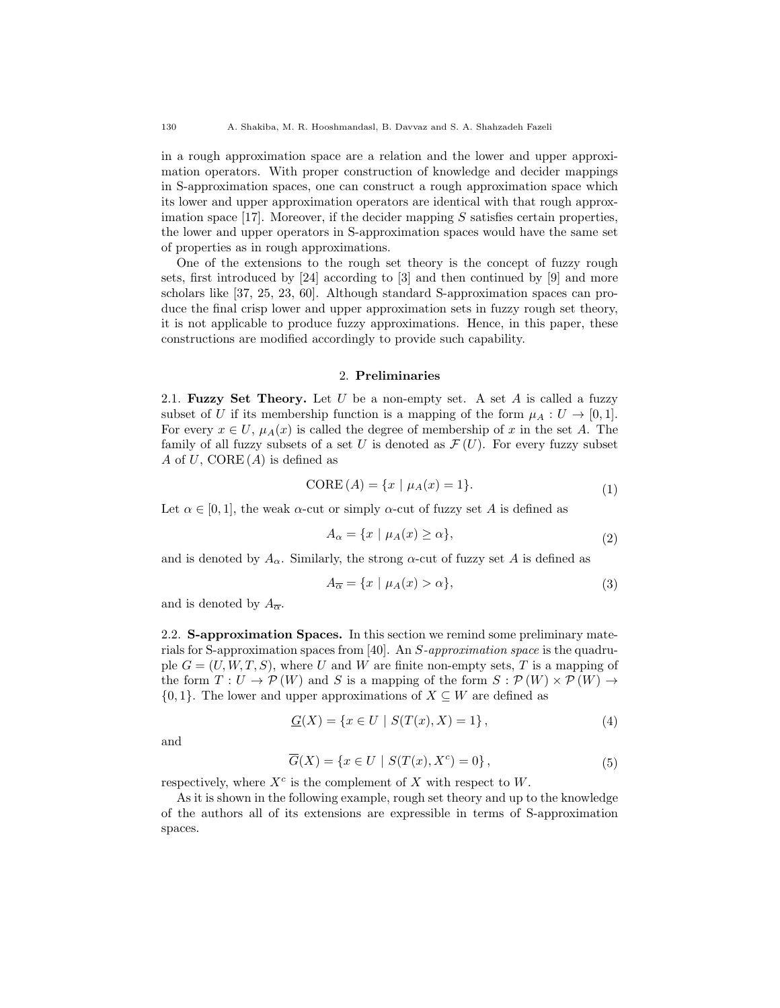in a rough approximation space are a relation and the lower and upper approximation operators. With proper construction of knowledge and decider mappings in S-approximation spaces, one can construct a rough approximation space which its lower and upper approximation operators are identical with that rough approximation space  $[17]$ . Moreover, if the decider mapping S satisfies certain properties, the lower and upper operators in S-approximation spaces would have the same set of properties as in rough approximations.

One of the extensions to the rough set theory is the concept of fuzzy rough sets, first introduced by [24] according to [3] and then continued by [9] and more scholars like [37, 25, 23, 60]. Although standard S-approximation spaces can produce the final crisp lower and upper approximation sets in fuzzy rough set theory, it is not applicable to produce fuzzy approximations. Hence, in this paper, these constructions are modified accordingly to provide such capability.

# 2. Preliminaries

2.1. Fuzzy Set Theory. Let  $U$  be a non-empty set. A set  $A$  is called a fuzzy subset of U if its membership function is a mapping of the form  $\mu_A: U \to [0, 1].$ For every  $x \in U$ ,  $\mu_A(x)$  is called the degree of membership of x in the set A. The family of all fuzzy subsets of a set U is denoted as  $\mathcal{F}(U)$ . For every fuzzy subset A of U, CORE  $(A)$  is defined as

$$
CORE(A) = \{x \mid \mu_A(x) = 1\}.
$$
\n<sup>(1)</sup>

Let  $\alpha \in [0,1]$ , the weak  $\alpha$ -cut or simply  $\alpha$ -cut of fuzzy set A is defined as

$$
A_{\alpha} = \{x \mid \mu_A(x) \ge \alpha\},\tag{2}
$$

and is denoted by  $A_{\alpha}$ . Similarly, the strong  $\alpha$ -cut of fuzzy set A is defined as

$$
A_{\overline{\alpha}} = \{x \mid \mu_A(x) > \alpha\},\tag{3}
$$

and is denoted by  $A_{\overline{\alpha}}$ .

2.2. S-approximation Spaces. In this section we remind some preliminary materials for S-approximation spaces from [40]. An S-approximation space is the quadruple  $G = (U, W, T, S)$ , where U and W are finite non-empty sets, T is a mapping of the form  $T: U \to \mathcal{P}(W)$  and S is a mapping of the form  $S: \mathcal{P}(W) \times \mathcal{P}(W) \to$  $\{0, 1\}$ . The lower and upper approximations of  $X \subseteq W$  are defined as

$$
\underline{G}(X) = \{ x \in U \mid S(T(x), X) = 1 \},\tag{4}
$$

and

$$
\overline{G}(X) = \{ x \in U \mid S(T(x), X^c) = 0 \},\tag{5}
$$

respectively, where  $X^c$  is the complement of X with respect to W.

As it is shown in the following example, rough set theory and up to the knowledge of the authors all of its extensions are expressible in terms of S-approximation spaces.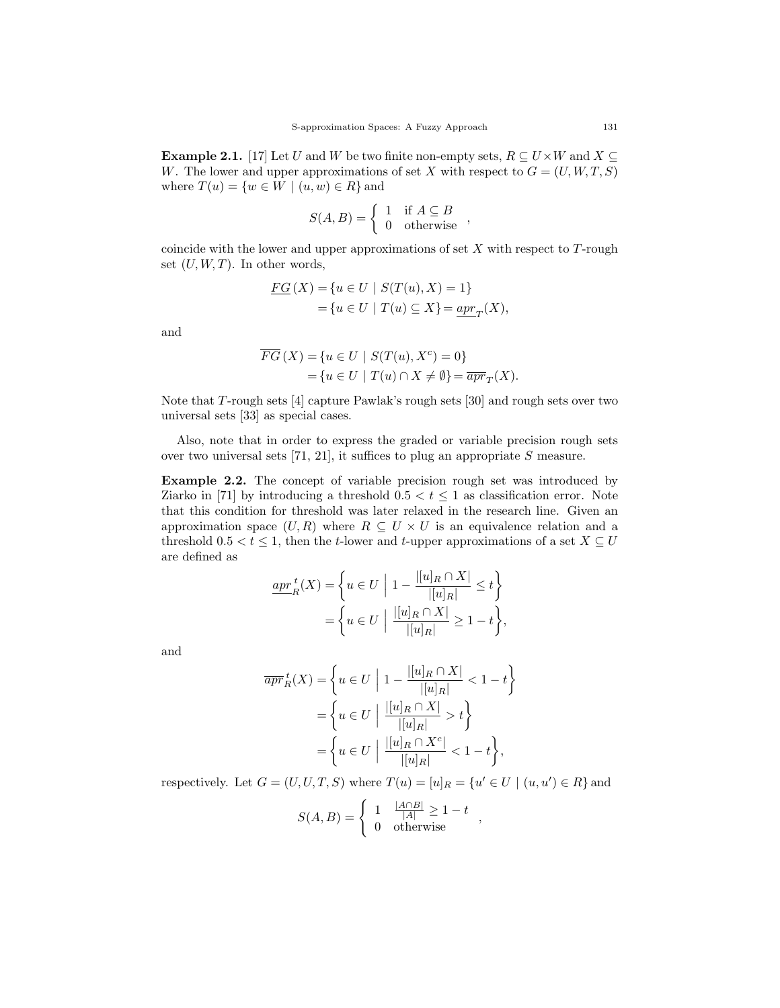**Example 2.1.** [17] Let U and W be two finite non-empty sets,  $R \subseteq U \times W$  and  $X \subseteq$ W. The lower and upper approximations of set X with respect to  $G = (U, W, T, S)$ where  $T(u) = \{w \in W \mid (u, w) \in R\}$  and

$$
S(A, B) = \begin{cases} 1 & \text{if } A \subseteq B \\ 0 & \text{otherwise} \end{cases}
$$

coincide with the lower and upper approximations of set  $X$  with respect to  $T$ -rough set  $(U, W, T)$ . In other words,

$$
\underline{FG}(X) = \{u \in U \mid S(T(u), X) = 1\}
$$
  
=  $\{u \in U \mid T(u) \subseteq X\} = \underline{apr}_T(X),$ 

and

$$
\overline{FG}(X) = \{u \in U \mid S(T(u), X^c) = 0\}
$$
  
= 
$$
\{u \in U \mid T(u) \cap X \neq \emptyset\} = \overline{apr}_T(X).
$$

Note that T-rough sets [4] capture Pawlak's rough sets [30] and rough sets over two universal sets [33] as special cases.

Also, note that in order to express the graded or variable precision rough sets over two universal sets [71, 21], it suffices to plug an appropriate S measure.

Example 2.2. The concept of variable precision rough set was introduced by Ziarko in [71] by introducing a threshold  $0.5 < t \leq 1$  as classification error. Note that this condition for threshold was later relaxed in the research line. Given an approximation space  $(U, R)$  where  $R \subseteq U \times U$  is an equivalence relation and a threshold  $0.5 < t \leq 1$ , then the t-lower and t-upper approximations of a set  $X \subseteq U$ are defined as

$$
\underline{apr}_R^{\ t}(X) = \left\{ u \in U \middle| 1 - \frac{[[u]_R \cap X]}{[[u]_R]} \le t \right\}
$$

$$
= \left\{ u \in U \middle| \frac{[[u]_R \cap X]}{[[u]_R]} \ge 1 - t \right\},\
$$

and

$$
\overline{apr}_R^t(X) = \left\{ u \in U \mid 1 - \frac{[[u]_R \cap X]}{[[u]_R]} < 1 - t \right\}
$$

$$
= \left\{ u \in U \mid \frac{[[u]_R \cap X]}{[[u]_R]} > t \right\}
$$

$$
= \left\{ u \in U \mid \frac{[[u]_R \cap X^c]}{[[u]_R]} < 1 - t \right\},\
$$

respectively. Let  $G = (U, U, T, S)$  where  $T(u) = [u]_R = \{u' \in U \mid (u, u') \in R\}$  and

$$
S(A, B) = \begin{cases} 1 & \frac{|A \cap B|}{|A|} \ge 1 - t \\ 0 & \text{otherwise} \end{cases}
$$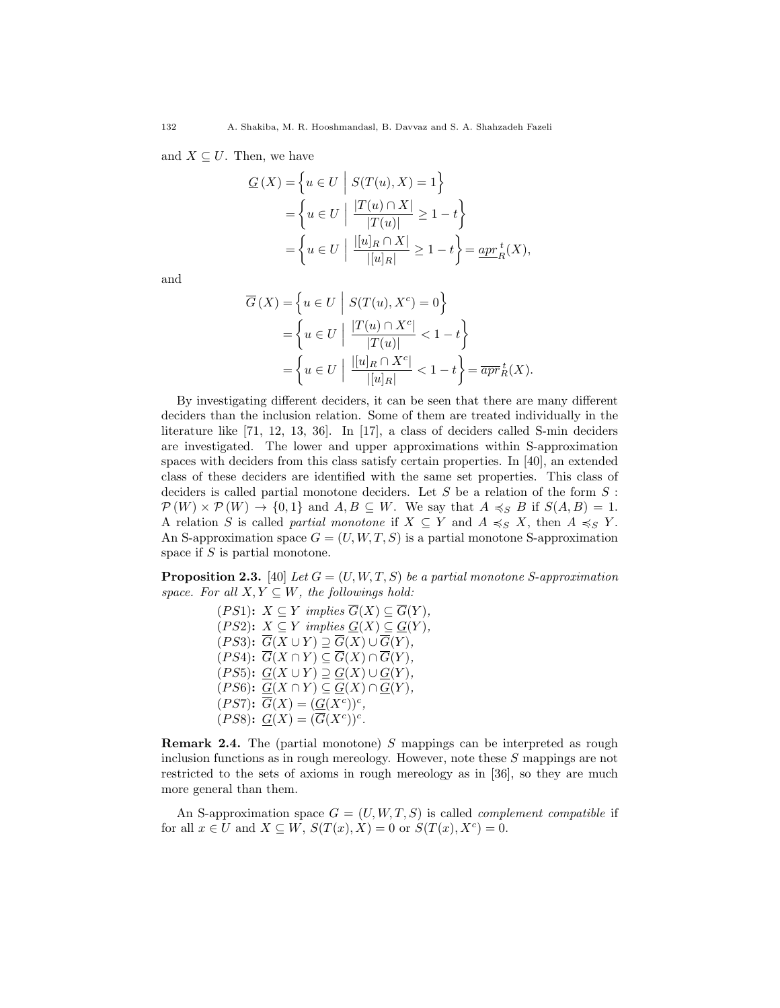and  $X \subseteq U$ . Then, we have

$$
\underline{G}(X) = \left\{ u \in U \mid S(T(u), X) = 1 \right\}
$$

$$
= \left\{ u \in U \mid \frac{|T(u) \cap X|}{|T(u)|} \ge 1 - t \right\}
$$

$$
= \left\{ u \in U \mid \frac{|[u]_R \cap X|}{|[u]_R|} \ge 1 - t \right\} = \underline{apr}_R^t(X),
$$

and

$$
\overline{G}(X) = \left\{ u \in U \middle| S(T(u), X^c) = 0 \right\}
$$

$$
= \left\{ u \in U \middle| \frac{|T(u) \cap X^c|}{|T(u)|} < 1 - t \right\}
$$

$$
= \left\{ u \in U \middle| \frac{|[u]_R \cap X^c|}{|[u]_R|} < 1 - t \right\} = \overline{apr}_R^t(X).
$$

By investigating different deciders, it can be seen that there are many different deciders than the inclusion relation. Some of them are treated individually in the literature like [71, 12, 13, 36]. In [17], a class of deciders called S-min deciders are investigated. The lower and upper approximations within S-approximation spaces with deciders from this class satisfy certain properties. In [40], an extended class of these deciders are identified with the same set properties. This class of deciders is called partial monotone deciders. Let S be a relation of the form  $S$ :  $\mathcal{P}(W) \times \mathcal{P}(W) \rightarrow \{0,1\}$  and  $A, B \subseteq W$ . We say that  $A \preccurlyeq_S B$  if  $S(A, B) = 1$ . A relation S is called partial monotone if  $X \subseteq Y$  and  $A \preccurlyeq_S X$ , then  $A \preccurlyeq_S Y$ . An S-approximation space  $G = (U, W, T, S)$  is a partial monotone S-approximation space if S is partial monotone.

**Proposition 2.3.** [40] Let  $G = (U, W, T, S)$  be a partial monotone S-approximation space. For all  $X, Y \subseteq W$ , the followings hold:

> $(PS1): X \subseteq Y$  implies  $\overline{G}(X) \subseteq \overline{G}(Y)$ , (PS2):  $X \subseteq Y$  implies  $G(X) \subseteq G(Y)$ ,  $(PS3): \overline{G}(X \cup Y) \supseteq \overline{G}(X) \cup \overline{G}(Y),$  $(PS4)$ :  $\overline{G}(X \cap Y) \subseteq \overline{G}(X) \cap \overline{G}(Y)$ ,  $(PS5): G(X \cup Y) \supseteq G(X) \cup G(Y),$  $(PS6)$ :  $G(X \cap Y) \subseteq G(X) \cap G(Y)$ ,  $(PS7)$ :  $\overline{G}(X) = (\underline{G}(X^c))^c$ ,  $(PS8)$ :  $\underline{G}(X) = (\overline{G}(X^c))^c$ .

Remark 2.4. The (partial monotone) S mappings can be interpreted as rough inclusion functions as in rough mereology. However, note these S mappings are not restricted to the sets of axioms in rough mereology as in [36], so they are much more general than them.

An S-approximation space  $G = (U, W, T, S)$  is called *complement compatible* if for all  $x \in U$  and  $X \subseteq W$ ,  $S(T(x), X) = 0$  or  $S(T(x), X^c) = 0$ .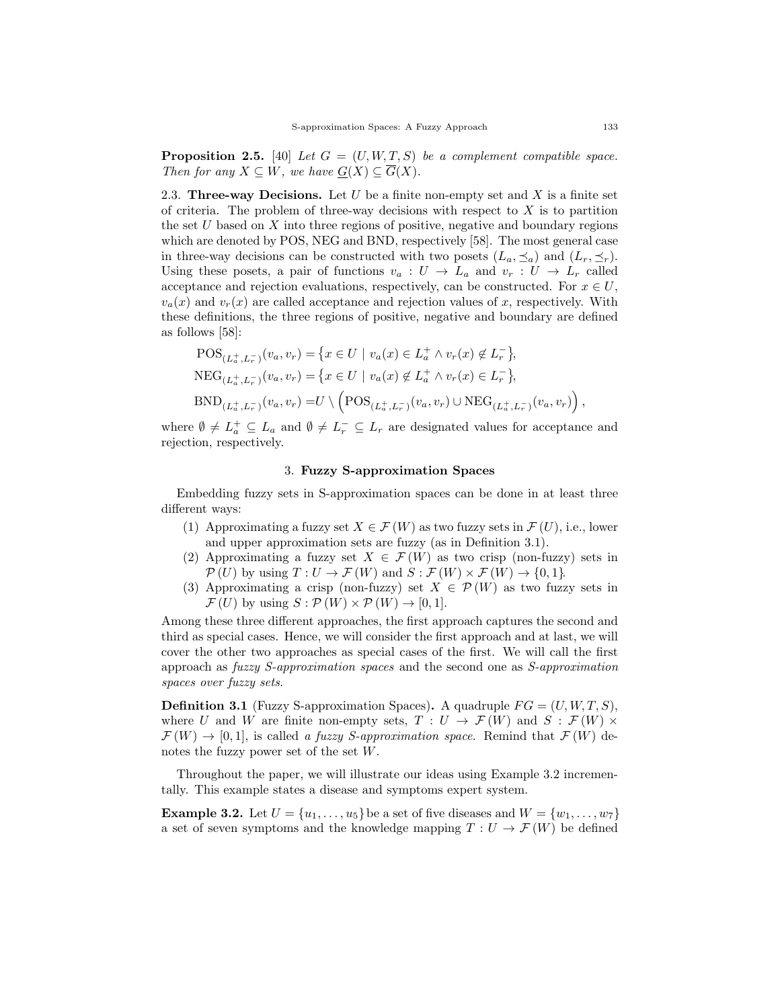**Proposition 2.5.** [40] Let  $G = (U, W, T, S)$  be a complement compatible space. Then for any  $X \subseteq W$ , we have  $G(X) \subseteq \overline{G}(X)$ .

2.3. Three-way Decisions. Let  $U$  be a finite non-empty set and  $X$  is a finite set of criteria. The problem of three-way decisions with respect to  $X$  is to partition the set  $U$  based on  $X$  into three regions of positive, negative and boundary regions which are denoted by POS, NEG and BND, respectively [58]. The most general case in three-way decisions can be constructed with two posets  $(L_a, \preceq_a)$  and  $(L_r, \preceq_r)$ . Using these posets, a pair of functions  $v_a: U \to L_a$  and  $v_r: U \to L_r$  called acceptance and rejection evaluations, respectively, can be constructed. For  $x \in U$ ,  $v_a(x)$  and  $v_r(x)$  are called acceptance and rejection values of x, respectively. With these definitions, the three regions of positive, negative and boundary are defined as follows [58]:

$$
\begin{aligned} &\text{POS}_{(L_a^+,L_r^-)}(v_a,v_r) = \left\{ x \in U \mid v_a(x) \in L_a^+ \land v_r(x) \notin L_r^- \right\}, \\ &\text{NEG}_{(L_a^+,L_r^-)}(v_a,v_r) = \left\{ x \in U \mid v_a(x) \notin L_a^+ \land v_r(x) \in L_r^- \right\}, \\ &\text{BND}_{(L_a^+,L_r^-)}(v_a,v_r) = U \setminus \left( \text{POS}_{(L_a^+,L_r^-)}(v_a,v_r) \cup \text{NEG}_{(L_a^+,L_r^-)}(v_a,v_r) \right), \end{aligned}
$$

where  $\emptyset \neq L_a^+ \subseteq L_a$  and  $\emptyset \neq L_r^- \subseteq L_r$  are designated values for acceptance and rejection, respectively.

# 3. Fuzzy S-approximation Spaces

Embedding fuzzy sets in S-approximation spaces can be done in at least three different ways:

- (1) Approximating a fuzzy set  $X \in \mathcal{F}(W)$  as two fuzzy sets in  $\mathcal{F}(U)$ , i.e., lower and upper approximation sets are fuzzy (as in Definition 3.1).
- (2) Approximating a fuzzy set  $X \in \mathcal{F}(W)$  as two crisp (non-fuzzy) sets in  $\mathcal{P}(U)$  by using  $T: U \to \mathcal{F}(W)$  and  $S: \mathcal{F}(W) \times \mathcal{F}(W) \to \{0, 1\}.$
- (3) Approximating a crisp (non-fuzzy) set  $X \in \mathcal{P}(W)$  as two fuzzy sets in  $\mathcal{F}(U)$  by using  $S: \mathcal{P}(W) \times \mathcal{P}(W) \rightarrow [0, 1].$

Among these three different approaches, the first approach captures the second and third as special cases. Hence, we will consider the first approach and at last, we will cover the other two approaches as special cases of the first. We will call the first approach as fuzzy S-approximation spaces and the second one as S-approximation spaces over fuzzy sets.

**Definition 3.1** (Fuzzy S-approximation Spaces). A quadruple  $FG = (U, W, T, S)$ , where U and W are finite non-empty sets,  $T: U \to \mathcal{F}(W)$  and  $S: \mathcal{F}(W) \times$  $\mathcal{F}(W) \to [0,1],$  is called a fuzzy S-approximation space. Remind that  $\mathcal{F}(W)$  denotes the fuzzy power set of the set W.

Throughout the paper, we will illustrate our ideas using Example 3.2 incrementally. This example states a disease and symptoms expert system.

**Example 3.2.** Let  $U = \{u_1, \ldots, u_5\}$  be a set of five diseases and  $W = \{w_1, \ldots, w_7\}$ a set of seven symptoms and the knowledge mapping  $T: U \to \mathcal{F}(W)$  be defined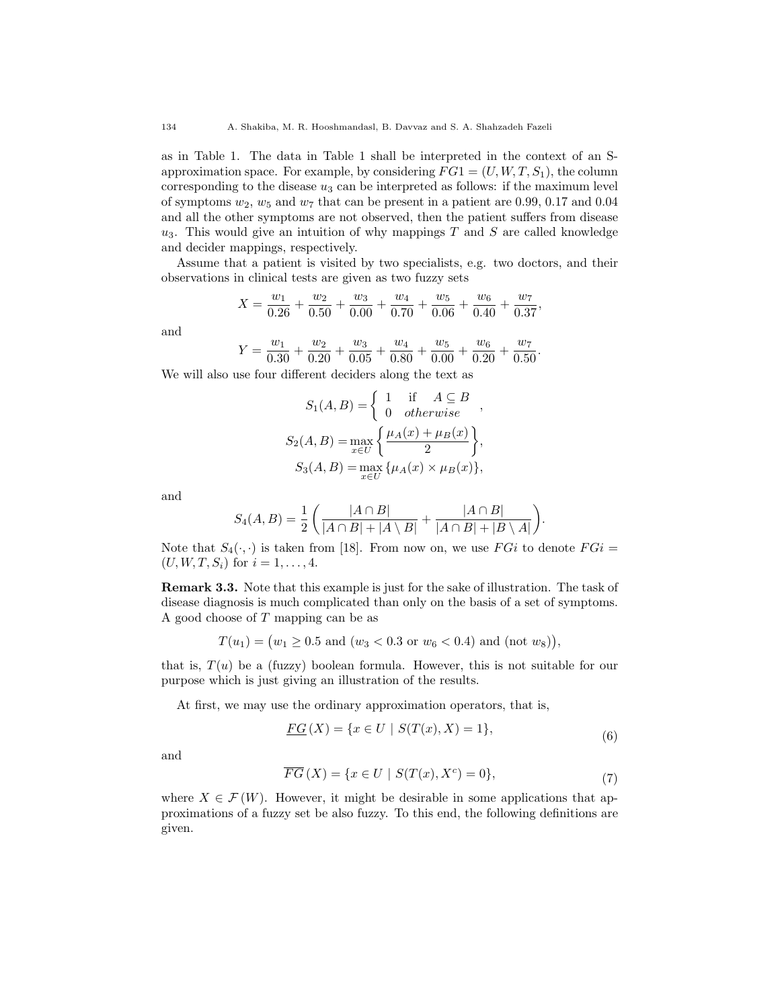as in Table 1. The data in Table 1 shall be interpreted in the context of an Sapproximation space. For example, by considering  $FG1 = (U, W, T, S_1)$ , the column corresponding to the disease  $u_3$  can be interpreted as follows: if the maximum level of symptoms  $w_2$ ,  $w_5$  and  $w_7$  that can be present in a patient are 0.99, 0.17 and 0.04 and all the other symptoms are not observed, then the patient suffers from disease  $u_3$ . This would give an intuition of why mappings T and S are called knowledge and decider mappings, respectively.

Assume that a patient is visited by two specialists, e.g. two doctors, and their observations in clinical tests are given as two fuzzy sets

$$
X = \frac{w_1}{0.26} + \frac{w_2}{0.50} + \frac{w_3}{0.00} + \frac{w_4}{0.70} + \frac{w_5}{0.06} + \frac{w_6}{0.40} + \frac{w_7}{0.37}
$$

,

.

and

$$
Y = \frac{w_1}{0.30} + \frac{w_2}{0.20} + \frac{w_3}{0.05} + \frac{w_4}{0.80} + \frac{w_5}{0.00} + \frac{w_6}{0.20} + \frac{w_7}{0.50}
$$

We will also use four different deciders along the text as

$$
S_1(A, B) = \begin{cases} 1 & \text{if } A \subseteq B \\ 0 & otherwise \end{cases},
$$
  
\n
$$
S_2(A, B) = \max_{x \in U} \left\{ \frac{\mu_A(x) + \mu_B(x)}{2} \right\},
$$
  
\n
$$
S_3(A, B) = \max_{x \in U} \{ \mu_A(x) \times \mu_B(x) \},
$$

and

$$
S_4(A, B) = \frac{1}{2} \left( \frac{|A \cap B|}{|A \cap B| + |A \setminus B|} + \frac{|A \cap B|}{|A \cap B| + |B \setminus A|} \right).
$$

Note that  $S_4(\cdot, \cdot)$  is taken from [18]. From now on, we use  $FGi$  to denote  $FGi$  =  $(U, W, T, S_i)$  for  $i = 1, ..., 4$ .

Remark 3.3. Note that this example is just for the sake of illustration. The task of disease diagnosis is much complicated than only on the basis of a set of symptoms. A good choose of T mapping can be as

$$
T(u_1) = (w_1 \ge 0.5 \text{ and } (w_3 < 0.3 \text{ or } w_6 < 0.4) \text{ and } (\text{not } w_8)),
$$

that is,  $T(u)$  be a (fuzzy) boolean formula. However, this is not suitable for our purpose which is just giving an illustration of the results.

At first, we may use the ordinary approximation operators, that is,

$$
\underline{FG}(X) = \{x \in U \mid S(T(x), X) = 1\},\tag{6}
$$

and

$$
\overline{FG}(X) = \{x \in U \mid S(T(x), X^c) = 0\},\tag{7}
$$

where  $X \in \mathcal{F}(W)$ . However, it might be desirable in some applications that approximations of a fuzzy set be also fuzzy. To this end, the following definitions are given.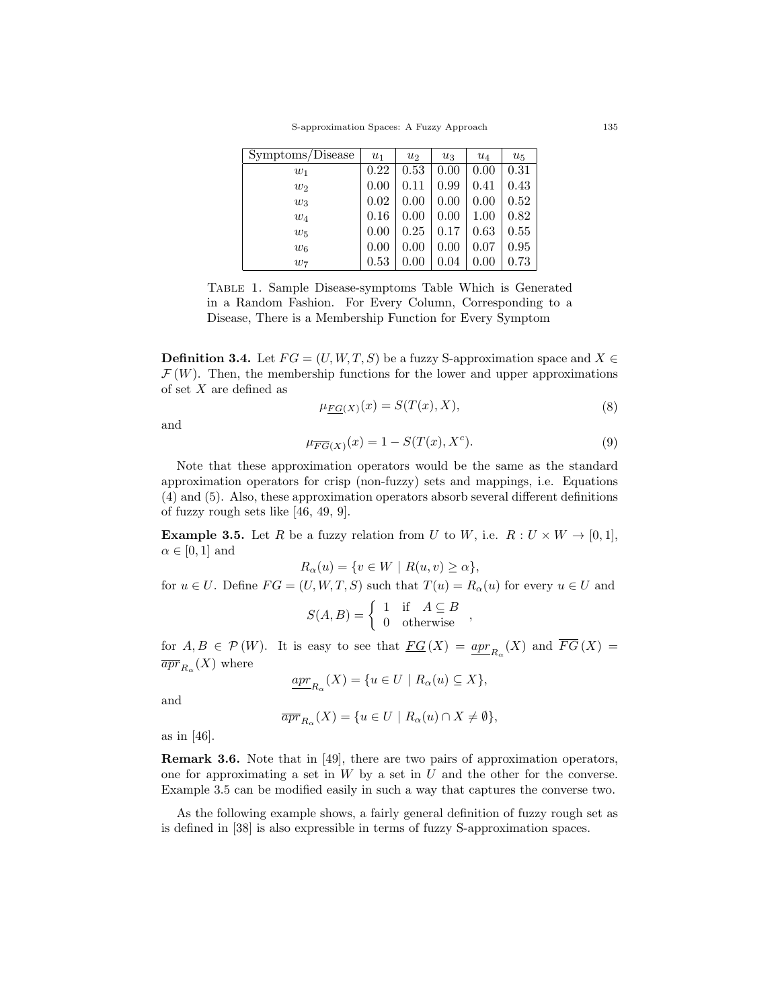S-approximation Spaces: A Fuzzy Approach 135

| Symptoms/Disease | $u_1$ | $u_2$ | $u_3$ | $u_4$    | $u_5$ |
|------------------|-------|-------|-------|----------|-------|
| $w_1$            | 0.22  | 0.53  | 0.00  | 0.00     | 0.31  |
| $w_2$            | 0.00  | 0.11  | 0.99  | 0.41     | 0.43  |
| $w_3$            | 0.02  | 0.00  | 0.00  | 0.00     | 0.52  |
| $w_4$            | 0.16  | 0.00  | 0.00  | 1.00     | 0.82  |
| $w_5$            | 0.00  | 0.25  | 0.17  | 0.63     | 0.55  |
| $w_6$            | 0.00  | 0.00  | 0.00  | 0.07     | 0.95  |
| $w_7$            | 0.53  | 0.00  | 0.04  | $0.00\,$ | 0.73  |

Table 1. Sample Disease-symptoms Table Which is Generated in a Random Fashion. For Every Column, Corresponding to a Disease, There is a Membership Function for Every Symptom

**Definition 3.4.** Let  $FG = (U, W, T, S)$  be a fuzzy S-approximation space and  $X \in$  $\mathcal{F}(W)$ . Then, the membership functions for the lower and upper approximations of set X are defined as

$$
\mu_{FG(X)}(x) = S(T(x), X),\tag{8}
$$

and

$$
\mu_{\overline{FG}(X)}(x) = 1 - S(T(x), X^c). \tag{9}
$$

Note that these approximation operators would be the same as the standard approximation operators for crisp (non-fuzzy) sets and mappings, i.e. Equations (4) and (5). Also, these approximation operators absorb several different definitions of fuzzy rough sets like [46, 49, 9].

**Example 3.5.** Let R be a fuzzy relation from U to W, i.e.  $R: U \times W \rightarrow [0,1]$ ,  $\alpha \in [0,1]$  and

$$
R_{\alpha}(u) = \{v \in W \mid R(u, v) \ge \alpha\},\
$$

for  $u \in U$ . Define  $FG = (U, W, T, S)$  such that  $T(u) = R_{\alpha}(u)$  for every  $u \in U$  and

$$
S(A, B) = \begin{cases} 1 & \text{if } A \subseteq B \\ 0 & \text{otherwise} \end{cases}
$$

for  $A, B \in \mathcal{P}(W)$ . It is easy to see that  $\underline{FG}(X) = \underline{apr}_{R_{\alpha}}(X)$  and  $\overline{FG}(X) =$  $\overline{apr}_{R_{\alpha}}(X)$  where

$$
\underline{apr}_{R_{\alpha}}(X) = \{ u \in U \mid R_{\alpha}(u) \subseteq X \},
$$

and

$$
\overline{apr}_{R_{\alpha}}(X) = \{ u \in U \mid R_{\alpha}(u) \cap X \neq \emptyset \},
$$

as in [46].

Remark 3.6. Note that in [49], there are two pairs of approximation operators, one for approximating a set in  $W$  by a set in  $U$  and the other for the converse. Example 3.5 can be modified easily in such a way that captures the converse two.

As the following example shows, a fairly general definition of fuzzy rough set as is defined in [38] is also expressible in terms of fuzzy S-approximation spaces.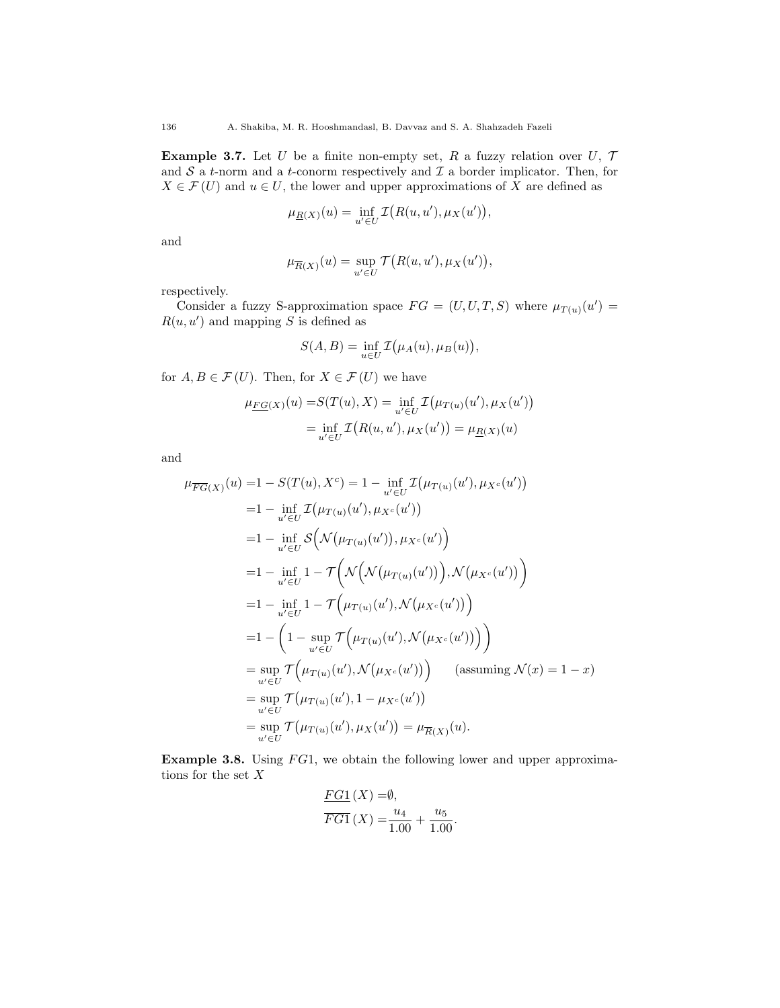**Example 3.7.** Let U be a finite non-empty set, R a fuzzy relation over U,  $\mathcal{T}$ and  $S$  a t-norm and a t-conorm respectively and  $\mathcal I$  a border implicator. Then, for  $X \in \mathcal{F}(U)$  and  $u \in U$ , the lower and upper approximations of X are defined as

$$
\mu_{\underline{R}(X)}(u) = \inf_{u' \in U} \mathcal{I}\big(R(u, u'), \mu_X(u')\big),
$$

and

$$
\mu_{\overline{R}(X)}(u) = \sup_{u' \in U} \mathcal{T}\big(R(u, u'), \mu_X(u')\big),\,
$$

respectively.

Consider a fuzzy S-approximation space  $FG = (U, U, T, S)$  where  $\mu_{T(u)}(u') =$  $R(u, u')$  and mapping S is defined as

$$
S(A, B) = \inf_{u \in U} \mathcal{I}(\mu_A(u), \mu_B(u)),
$$

for  $A, B \in \mathcal{F}(U)$ . Then, for  $X \in \mathcal{F}(U)$  we have

$$
\mu_{\underline{FG}(X)}(u) = S(T(u), X) = \inf_{u' \in U} \mathcal{I}(\mu_{T(u)}(u'), \mu_X(u'))
$$

$$
= \inf_{u' \in U} \mathcal{I}(R(u, u'), \mu_X(u')) = \mu_{\underline{R}(X)}(u)
$$

and

$$
\mu_{\overline{FG}(X)}(u) = 1 - S(T(u), X^{c}) = 1 - \inf_{u' \in U} \mathcal{I}(\mu_{T(u)}(u'), \mu_{X^{c}}(u'))
$$
  
\n
$$
= 1 - \inf_{u' \in U} \mathcal{I}(\mu_{T(u)}(u'), \mu_{X^{c}}(u'))
$$
  
\n
$$
= 1 - \inf_{u' \in U} \mathcal{S}(\mathcal{N}(\mu_{T(u)}(u')), \mu_{X^{c}}(u')))
$$
  
\n
$$
= 1 - \inf_{u' \in U} 1 - \mathcal{T}(\mathcal{N}(\mathcal{N}(\mu_{T(u)}(u'))), \mathcal{N}(\mu_{X^{c}}(u'))))
$$
  
\n
$$
= 1 - \inf_{u' \in U} 1 - \mathcal{T}(\mu_{T(u)}(u'), \mathcal{N}(\mu_{X^{c}}(u')))
$$
  
\n
$$
= 1 - \left(1 - \sup_{u' \in U} \mathcal{T}(\mu_{T(u)}(u'), \mathcal{N}(\mu_{X^{c}}(u')))\right)
$$
  
\n
$$
= \sup_{u' \in U} \mathcal{T}(\mu_{T(u)}(u'), \mathcal{N}(\mu_{X^{c}}(u')))
$$
 (assuming  $\mathcal{N}(x) = 1 - x)$   
\n
$$
= \sup_{u' \in U} \mathcal{T}(\mu_{T(u)}(u'), 1 - \mu_{X^{c}}(u'))
$$
  
\n
$$
= \sup_{u' \in U} \mathcal{T}(\mu_{T(u)}(u'), \mu_{X}(u')) = \mu_{\overline{R}(X)}(u).
$$

**Example 3.8.** Using  $FG1$ , we obtain the following lower and upper approximations for the set  $\boldsymbol{X}$ 

$$
\frac{FG1}{FG1}(X) = \emptyset, \n\overline{FG1}(X) = \frac{u_4}{1.00} + \frac{u_5}{1.00}.
$$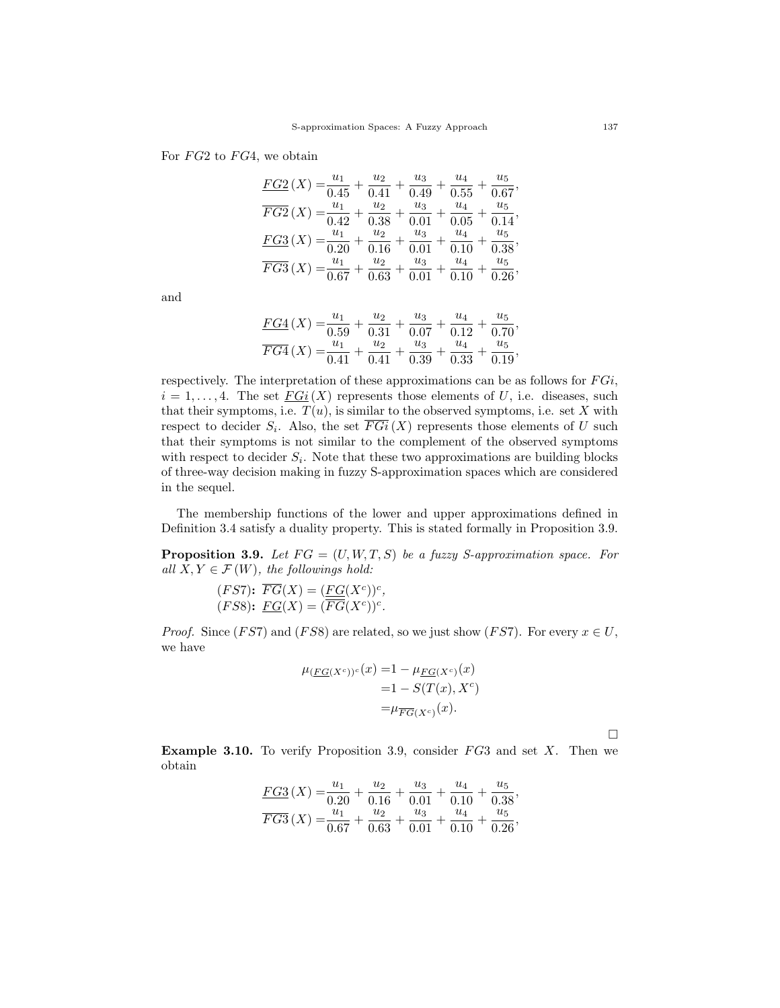# For  $FG2$  to  $FG4$ , we obtain

| FG2(X)                          | $u_1$              | $u_2$             | $u_3$         | $u_4$         | $u_{5}$                     |
|---------------------------------|--------------------|-------------------|---------------|---------------|-----------------------------|
|                                 | $\sqrt{0.45}$      | 0.41              | 0.49          | 0.55          | 0.67                        |
| $\overline{FG2}\left( X\right)$ | $u_1$              | $u_2$             | $u_3$         | $u_4$         | $u_{5}$                     |
|                                 | $=\overline{0.42}$ | 0.38              | 0.01          | $0.05\,$      | 0.14'                       |
| $FG3(X) = \frac{1}{0.20}$       | $u_1$              | $u_2$<br>0.16     | $u_3$<br>0.01 | $u_4$<br>0.10 | $u_5$<br>$0.38^{\, \prime}$ |
| $\overline{FG3}(X)$             | $u_1$              | $u_2$<br>$0.63\,$ | $u_3$         | $u_4$         | $u_{5}$                     |

and

$$
\frac{FG4}{FG4}(X) = \frac{u_1}{0.59} + \frac{u_2}{0.31} + \frac{u_3}{0.07} + \frac{u_4}{0.12} + \frac{u_5}{0.70},
$$
  

$$
\frac{G4}{FG4}(X) = \frac{u_1}{0.41} + \frac{u_2}{0.41} + \frac{u_3}{0.39} + \frac{u_4}{0.33} + \frac{u_5}{0.19},
$$

respectively. The interpretation of these approximations can be as follows for  $FGi$ ,  $i = 1, \ldots, 4$ . The set  $FGi(X)$  represents those elements of U, i.e. diseases, such that their symptoms, i.e.  $T(u)$ , is similar to the observed symptoms, i.e. set X with respect to decider  $S_i$ . Also, the set  $\overline{FGi}(X)$  represents those elements of U such that their symptoms is not similar to the complement of the observed symptoms with respect to decider  $S_i$ . Note that these two approximations are building blocks of three-way decision making in fuzzy S-approximation spaces which are considered in the sequel.

The membership functions of the lower and upper approximations defined in Definition 3.4 satisfy a duality property. This is stated formally in Proposition 3.9.

**Proposition 3.9.** Let  $FG = (U, W, T, S)$  be a fuzzy S-approximation space. For all  $X, Y \in \mathcal{F}(W)$ , the followings hold:

$$
(FS7): \overline{FG}(X) = (\underline{FG}(X^c))^c,
$$
  

$$
(FS8): \underline{FG}(X) = (\overline{FG}(X^c))^c.
$$

*Proof.* Since (*FS*7) and (*FS*8) are related, so we just show (*FS*7). For every  $x \in U$ , we have

$$
\mu_{(\underline{FG}(X^c))^c}(x) = 1 - \mu_{\underline{FG}(X^c)}(x)
$$

$$
= 1 - S(T(x), X^c)
$$

$$
= \mu_{\overline{FG}(X^c)}(x).
$$

 $\Box$ 

**Example 3.10.** To verify Proposition 3.9, consider  $FG3$  and set X. Then we obtain

$$
\frac{FG3}{FG3}(X) = \frac{u_1}{0.20} + \frac{u_2}{0.16} + \frac{u_3}{0.01} + \frac{u_4}{0.10} + \frac{u_5}{0.38},
$$
  

$$
\overline{FG3}(X) = \frac{u_1}{0.67} + \frac{u_2}{0.63} + \frac{u_3}{0.01} + \frac{u_4}{0.10} + \frac{u_5}{0.26},
$$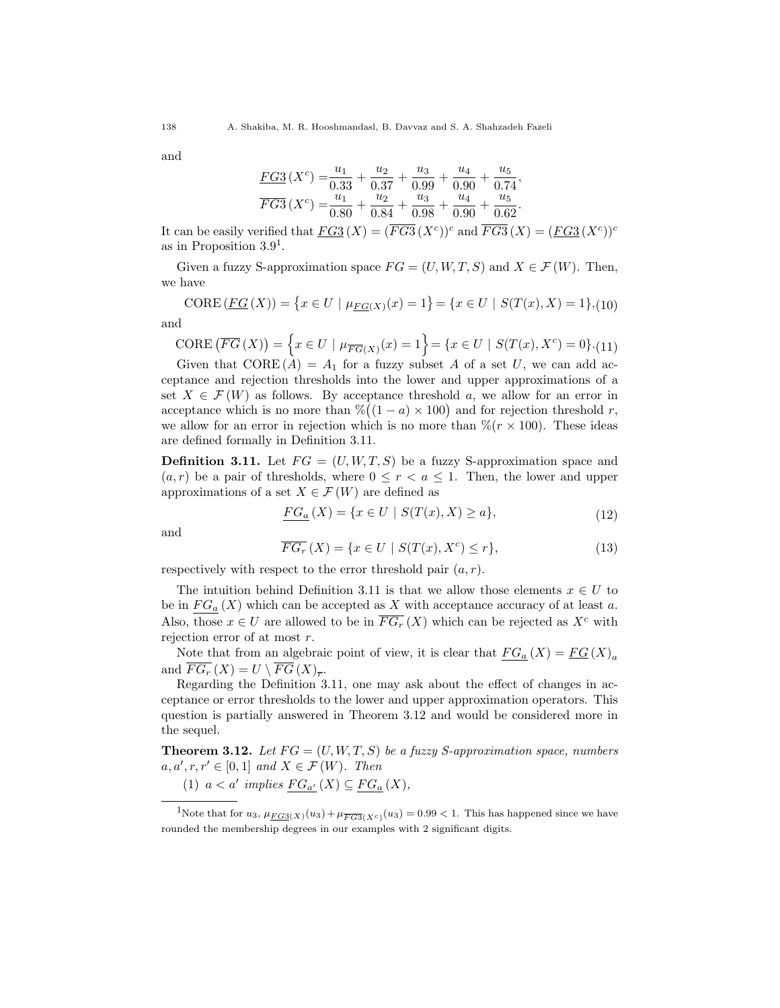and

$$
\frac{FG3}{FG3}(X^c) = \frac{u_1}{0.33} + \frac{u_2}{0.37} + \frac{u_3}{0.99} + \frac{u_4}{0.90} + \frac{u_5}{0.74},
$$
  

$$
\overline{FG3}(X^c) = \frac{u_1}{0.80} + \frac{u_2}{0.84} + \frac{u_3}{0.98} + \frac{u_4}{0.90} + \frac{u_5}{0.62}.
$$

It can be easily verified that  $FG3(X) = (FG3(X^c))^c$  and  $FG3(X) = (FG3(X^c))^c$ as in Proposition  $3.9<sup>1</sup>$ .

Given a fuzzy S-approximation space  $FG = (U, W, T, S)$  and  $X \in \mathcal{F}(W)$ . Then, we have

$$
CORE(\underline{FG}(X)) = \{x \in U \mid \mu_{\underline{FG}(X)}(x) = 1\} = \{x \in U \mid S(T(x), X) = 1\}, (10)
$$

and

$$
CORE\left(\overline{FG}\left(X\right)\right) = \left\{x \in U \mid \mu_{\overline{FG}(X)}(x) = 1\right\} = \left\{x \in U \mid S(T(x), X^c) = 0\right\} \cdot (11)
$$

Given that  $\text{CORE}(A) = A_1$  for a fuzzy subset A of a set U, we can add acceptance and rejection thresholds into the lower and upper approximations of a set  $X \in \mathcal{F}(W)$  as follows. By acceptance threshold a, we allow for an error in acceptance which is no more than  $\frac{\%}{\left(1-a\right)} \times 100$  and for rejection threshold r, we allow for an error in rejection which is no more than  $\mathcal{K}(r \times 100)$ . These ideas are defined formally in Definition 3.11.

**Definition 3.11.** Let  $FG = (U, W, T, S)$  be a fuzzy S-approximation space and  $(a, r)$  be a pair of thresholds, where  $0 \leq r \leq a \leq 1$ . Then, the lower and upper approximations of a set  $X\in\mathcal{F}\left(W\right)$  are defined as

$$
\underline{FG_a}(X) = \{ x \in U \mid S(T(x), X) \ge a \},\tag{12}
$$

and

$$
\overline{FG_r}(X) = \{x \in U \mid S(T(x), X^c) \le r\},\tag{13}
$$

respectively with respect to the error threshold pair  $(a, r)$ .

The intuition behind Definition 3.11 is that we allow those elements  $x \in U$  to be in  $FG_a(X)$  which can be accepted as X with acceptance accuracy of at least a. Also, those  $x \in U$  are allowed to be in  $\overline{FG_r}(X)$  which can be rejected as  $X^c$  with rejection error of at most r.

Note that from an algebraic point of view, it is clear that  $FG_a(X) = FG(X)_a$ and  $FG_r(X) = U \setminus FG(X)_{\overline{r}}$ .

Regarding the Definition 3.11, one may ask about the effect of changes in acceptance or error thresholds to the lower and upper approximation operators. This question is partially answered in Theorem 3.12 and would be considered more in the sequel.

**Theorem 3.12.** Let  $FG = (U, W, T, S)$  be a fuzzy S-approximation space, numbers  $a, a', r, r' \in [0, 1]$  and  $X \in \mathcal{F}(W)$ . Then

(1)  $a < a'$  implies  $FG_{a'}(X) \subseteq FG_a(X)$ ,

<sup>&</sup>lt;sup>1</sup>Note that for  $u_3$ ,  $\mu_{FG3(X)}(u_3) + \mu_{FG3(X^c)}(u_3) = 0.99 < 1$ . This has happened since we have rounded the membership degrees in our examples with 2 significant digits.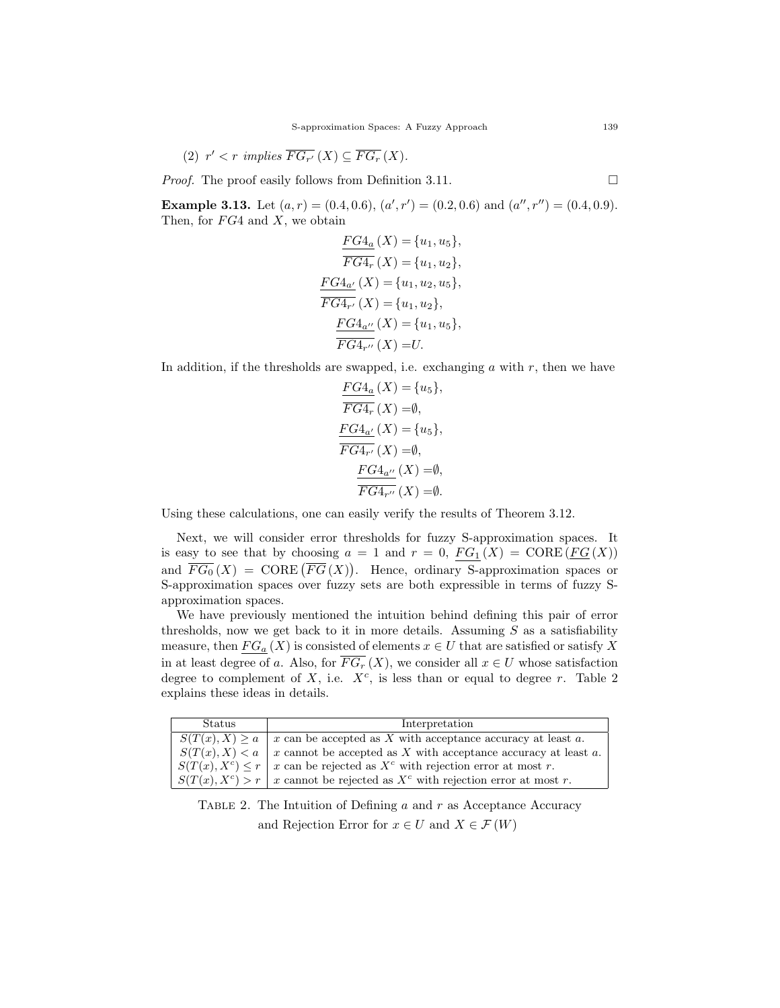(2) 
$$
r' < r
$$
 implies  $\overline{FG_{r'}}(X) \subseteq \overline{FG_r}(X)$ .

*Proof.* The proof easily follows from Definition 3.11.

**Example 3.13.** Let  $(a, r) = (0.4, 0.6), (a', r') = (0.2, 0.6)$  and  $(a'', r'') = (0.4, 0.9)$ . Then, for  $FG4$  and X, we obtain

$$
\frac{FG4_a}{FG4_r}(X) = \{u_1, u_5\},
$$
  
\n
$$
\overline{FG4_r}(X) = \{u_1, u_2\},
$$
  
\n
$$
\frac{FG4_{a'}}{FG4_{r'}}(X) = \{u_1, u_2, u_5\},
$$
  
\n
$$
\overline{FG4_{a''}}(X) = \{u_1, u_2\},
$$
  
\n
$$
\frac{FG4_{a''}}{FG4_{r''}}(X) = \{u_1, u_5\},
$$
  
\n
$$
\overline{FG4_{r''}}(X) = U.
$$

In addition, if the thresholds are swapped, i.e. exchanging  $a$  with  $r$ , then we have

$$
\frac{FG4_a(X)}{FG4_r(X)} = \{u_5\},
$$
  
\n
$$
\frac{FG4_{a'}}{FG4_{a'}}(X) = \{u_5\},
$$
  
\n
$$
\frac{FG4_{a'}}{FG4_{r'}}(X) = \emptyset,
$$
  
\n
$$
\frac{FG4_{a''}}{FG4_{r''}}(X) = \emptyset,
$$
  
\n
$$
\frac{FG4_{a''}}{FG4_{r''}}(X) = \emptyset.
$$

Using these calculations, one can easily verify the results of Theorem 3.12.

Next, we will consider error thresholds for fuzzy S-approximation spaces. It is easy to see that by choosing  $a = 1$  and  $r = 0$ ,  $FG_1(X) = \text{CORE}(FG(X))$ and  $\overline{FG_0}(X) = \text{CORE}(\overline{FG}(X)).$  Hence, ordinary S-approximation spaces or S-approximation spaces over fuzzy sets are both expressible in terms of fuzzy Sapproximation spaces.

We have previously mentioned the intuition behind defining this pair of error thresholds, now we get back to it in more details. Assuming  $S$  as a satisfiability measure, then  $FG_a(X)$  is consisted of elements  $x \in U$  that are satisfied or satisfy X in at least degree of a. Also, for  $\overline{FG_r}(X)$ , we consider all  $x \in U$  whose satisfaction degree to complement of  $X$ , i.e.  $X^c$ , is less than or equal to degree r. Table 2 explains these ideas in details.

| Status                | Interpretation                                                      |
|-----------------------|---------------------------------------------------------------------|
| $S(T(x),X) \geq a$    | $x$ can be accepted as $X$ with acceptance accuracy at least $a$ .  |
| S(T(x), X) < a        | x cannot be accepted as $X$ with acceptance accuracy at least $a$ . |
| $S(T(x), X^c) \leq r$ | x can be rejected as $X^c$ with rejection error at most r.          |
| $S(T(x), X^c) > r$    | x cannot be rejected as $X^c$ with rejection error at most r.       |

TABLE 2. The Intuition of Defining  $a$  and  $r$  as Acceptance Accuracy and Rejection Error for  $x \in U$  and  $X \in \mathcal{F}(W)$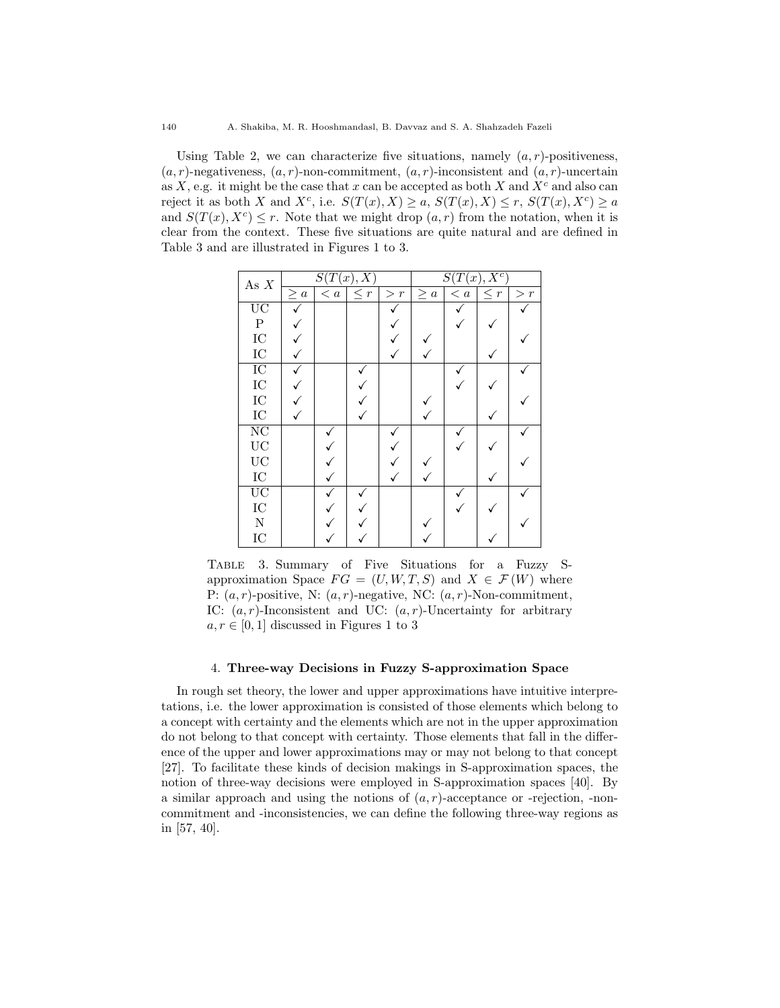Using Table 2, we can characterize five situations, namely  $(a, r)$ -positiveness,  $(a, r)$ -negativeness,  $(a, r)$ -non-commitment,  $(a, r)$ -inconsistent and  $(a, r)$ -uncertain as  $X$ , e.g. it might be the case that x can be accepted as both X and  $X<sup>c</sup>$  and also can reject it as both X and  $X^c$ , i.e.  $S(T(x), X) \ge a$ ,  $S(T(x), X) \le r$ ,  $S(T(x), X^c) \ge a$ and  $S(T(x), X^c) \leq r$ . Note that we might drop  $(a, r)$  from the notation, when it is clear from the context. These five situations are quite natural and are defined in Table 3 and are illustrated in Figures 1 to 3.

| As $X$                 | S(T(x),X) |             |          |          | $S(T(x), X^c)$ |     |          |          |
|------------------------|-----------|-------------|----------|----------|----------------|-----|----------|----------|
|                        | $\geq a$  | $\langle a$ | $\leq r$ | $\geq r$ | $\geq a$       | < a | $\leq r$ | $\geq r$ |
| $\overline{UC}$        |           |             |          |          |                |     |          |          |
| $\rm P$                |           |             |          |          |                |     |          |          |
| $_{\mathrm{IC}}$       |           |             |          |          |                |     |          |          |
| ${\rm IC}$             |           |             |          |          |                |     |          |          |
| $\overline{IC}$        |           |             |          |          |                |     |          |          |
| ${\rm IC}$             |           |             |          |          |                |     |          |          |
| ${\rm IC}$             |           |             |          |          |                |     |          |          |
| ${\rm IC}$             |           |             |          |          |                |     |          |          |
| $\overline{\text{NC}}$ |           |             |          |          |                |     |          |          |
| $\rm UC$               |           |             |          |          |                |     |          |          |
| $\rm UC$               |           |             |          |          |                |     |          |          |
| ${\rm IC}$             |           |             |          |          |                |     |          |          |
| $\overline{UC}$        |           |             |          |          |                |     |          |          |
| ${\rm IC}$             |           |             |          |          |                |     |          |          |
| ${\bf N}$              |           |             |          |          |                |     |          |          |
| IC                     |           |             |          |          |                |     |          |          |

Table 3. Summary of Five Situations for a Fuzzy Sapproximation Space  $FG = (U, W, T, S)$  and  $X \in \mathcal{F}(W)$  where P:  $(a, r)$ -positive, N:  $(a, r)$ -negative, NC:  $(a, r)$ -Non-commitment, IC:  $(a, r)$ -Inconsistent and UC:  $(a, r)$ -Uncertainty for arbitrary  $a, r \in [0, 1]$  discussed in Figures 1 to 3

# 4. Three-way Decisions in Fuzzy S-approximation Space

In rough set theory, the lower and upper approximations have intuitive interpretations, i.e. the lower approximation is consisted of those elements which belong to a concept with certainty and the elements which are not in the upper approximation do not belong to that concept with certainty. Those elements that fall in the difference of the upper and lower approximations may or may not belong to that concept [27]. To facilitate these kinds of decision makings in S-approximation spaces, the notion of three-way decisions were employed in S-approximation spaces [40]. By a similar approach and using the notions of  $(a, r)$ -acceptance or -rejection, -noncommitment and -inconsistencies, we can define the following three-way regions as in [57, 40].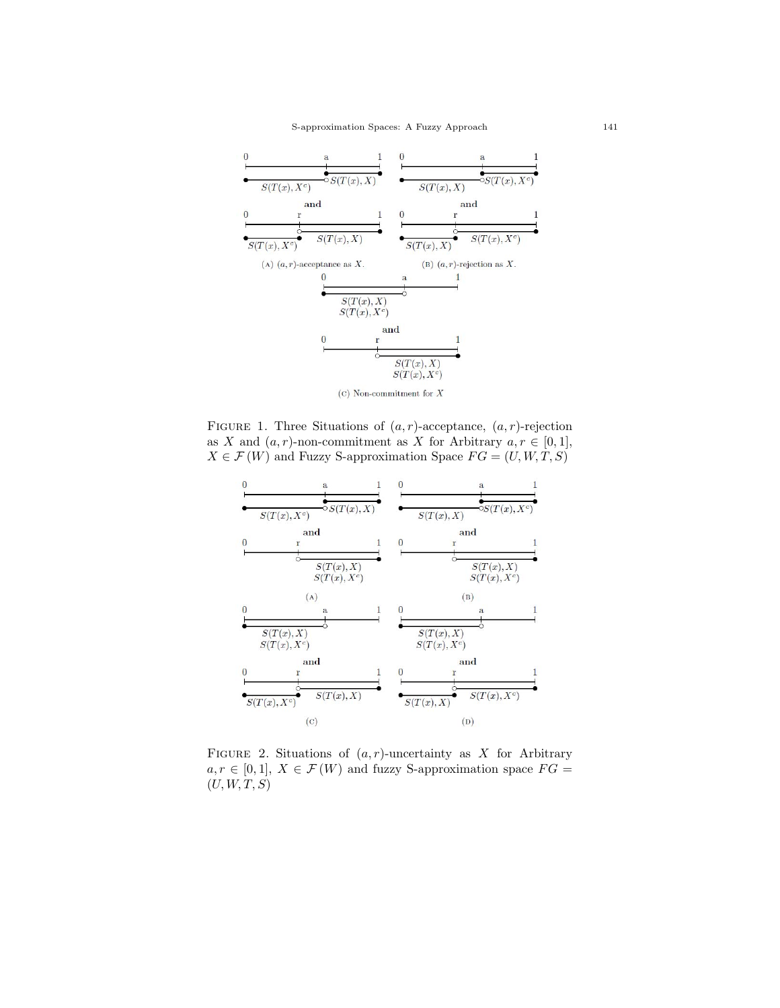

FIGURE 1. Three Situations of  $(a, r)$ -acceptance,  $(a, r)$ -rejection as X and  $(a, r)$ -non-commitment as X for Arbitrary  $a, r \in [0, 1]$ ,  $X \in \mathcal{F}(W)$  and Fuzzy S-approximation Space  $FG = (U, W, T, S)$ 



FIGURE 2. Situations of  $(a, r)$ -uncertainty as X for Arbitrary  $a, r \in [0, 1], X \in \mathcal{F}(W)$  and fuzzy S-approximation space  $FG =$  $(U, W, T, S)$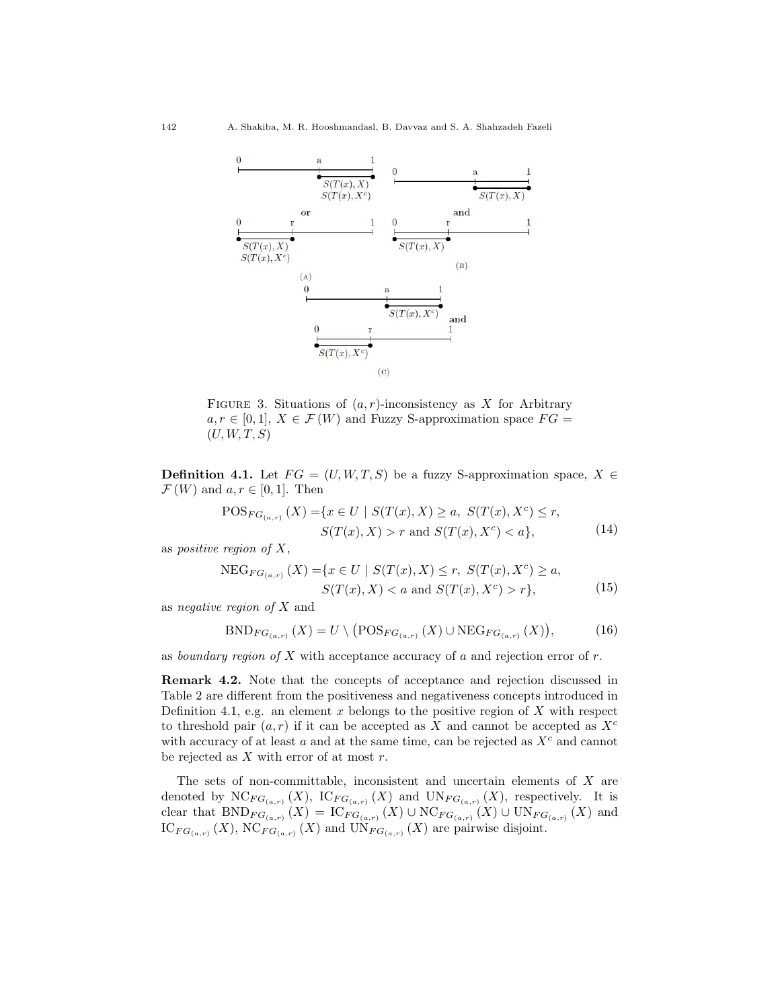

FIGURE 3. Situations of  $(a, r)$ -inconsistency as X for Arbitrary  $a, r \in [0, 1], X \in \mathcal{F}(W)$  and Fuzzy S-approximation space  $FG =$  $(U, W, T, S)$ 

**Definition 4.1.** Let  $FG = (U, W, T, S)$  be a fuzzy S-approximation space,  $X \in$  $\mathcal{F}(W)$  and  $a, r \in [0, 1]$ . Then

$$
POS_{FG_{(a,r)}}(X) = \{x \in U \mid S(T(x), X) \ge a, S(T(x), X^{c}) \le r, \\ S(T(x), X) > r \text{ and } S(T(x), X^{c}) < a\},
$$
\n(14)

as *positive region of*  $X$ ,

$$
NEG_{FG_{(a,r)}}(X) = \{x \in U \mid S(T(x), X) \le r, S(T(x), X^c) \ge a, \\ S(T(x), X) < a \text{ and } S(T(x), X^c) > r\},\tag{15}
$$

as negative region of  $X$  and

$$
BND_{FG_{(a,r)}}(X) = U \setminus (POS_{FG_{(a,r)}}(X) \cup NEG_{FG_{(a,r)}}(X)), \tag{16}
$$

as boundary region of  $X$  with acceptance accuracy of  $a$  and rejection error of  $r$ .

Remark 4.2. Note that the concepts of acceptance and rejection discussed in Table 2 are different from the positiveness and negativeness concepts introduced in Definition 4.1, e.g. an element  $x$  belongs to the positive region of  $X$  with respect to threshold pair  $(a, r)$  if it can be accepted as X and cannot be accepted as  $X<sup>c</sup>$ with accuracy of at least  $a$  and at the same time, can be rejected as  $X<sup>c</sup>$  and cannot be rejected as  $X$  with error of at most  $r$ .

The sets of non-committable, inconsistent and uncertain elements of  $X$  are denoted by  $\mathrm{NC}_{FG_{(a,r)}}(X)$ ,  $\mathrm{IC}_{FG_{(a,r)}}(X)$  and  $\mathrm{UN}_{FG_{(a,r)}}(X)$ , respectively. It is clear that  $BND_{FG_{(a,r)}}(X) = IC_{FG_{(a,r)}}(X) \cup NC_{FG_{(a,r)}}(X) \cup UN_{FG_{(a,r)}}(X)$  and  $IC_{FG_{(a,r)}}(X), NC_{FG_{(a,r)}}(X)$  and  $UN_{FG_{(a,r)}}(X)$  are pairwise disjoint.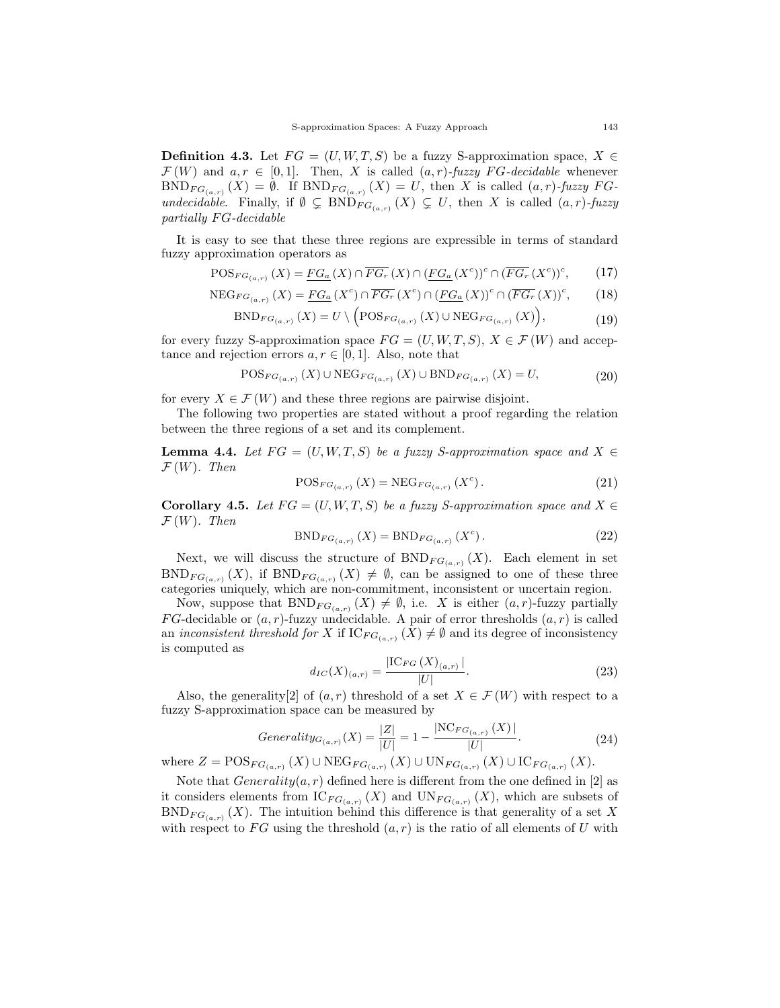**Definition 4.3.** Let  $FG = (U, W, T, S)$  be a fuzzy S-approximation space,  $X \in$  $\mathcal{F}(W)$  and  $a, r \in [0,1]$ . Then, X is called  $(a, r)$ -fuzzy FG-decidable whenever  $BND_{FG_{(a,r)}}(X) = \emptyset$ . If  $BND_{FG_{(a,r)}}(X) = U$ , then X is called  $(a,r)$ -fuzzy FGundecidable. Finally, if  $\emptyset \subsetneq BND_{FG_{(a,r)}}(X) \subsetneq U$ , then X is called  $(a,r)$ -fuzzy partially  $FG$ -decidable

It is easy to see that these three regions are expressible in terms of standard fuzzy approximation operators as

$$
\text{POS}_{FG_{(a,r)}}(X) = \underline{FG_a}(X) \cap \overline{FG_r}(X) \cap (\underline{FG_a}(X^c))^c \cap (\overline{FG_r}(X^c))^c, \tag{17}
$$

$$
\text{NEG}_{FG_{(a,r)}}(X) = \underline{FG_a}(X^c) \cap \overline{FG_r}(X^c) \cap (\underline{FG_a}(X))^c \cap (\overline{FG_r}(X))^c, \tag{18}
$$

$$
BND_{FG_{(a,r)}}(X) = U \setminus \Big( POS_{FG_{(a,r)}}(X) \cup NEG_{FG_{(a,r)}}(X)\Big), \tag{19}
$$

for every fuzzy S-approximation space  $FG = (U, W, T, S), X \in \mathcal{F}(W)$  and acceptance and rejection errors  $a, r \in [0, 1]$ . Also, note that

$$
\text{POS}_{FG_{(a,r)}}(X) \cup \text{NEG}_{FG_{(a,r)}}(X) \cup \text{BND}_{FG_{(a,r)}}(X) = U,
$$
\n(20)

for every  $X \in \mathcal{F}(W)$  and these three regions are pairwise disjoint.

The following two properties are stated without a proof regarding the relation between the three regions of a set and its complement.

**Lemma 4.4.** Let  $FG = (U, W, T, S)$  be a fuzzy S-approximation space and  $X \in$  $\mathcal{F}(W)$ . Then

$$
POS_{FG_{(a,r)}}(X) = NEG_{FG_{(a,r)}}(X^{c}).
$$
\n(21)

Corollary 4.5. Let  $FG = (U, W, T, S)$  be a fuzzy S-approximation space and  $X \in$  $\mathcal{F}(W)$ . Then

$$
BND_{FG_{(a,r)}}(X) = BND_{FG_{(a,r)}}(X^{c}).
$$
\n(22)

Next, we will discuss the structure of  $BND_{FG_{(a,r)}}(X)$ . Each element in set  $BND_{FG_{(a,r)}}(X)$ , if  $BND_{FG_{(a,r)}}(X) \neq \emptyset$ , can be assigned to one of these three categories uniquely, which are non-commitment, inconsistent or uncertain region.

Now, suppose that  $BND_{FG_{(a,r)}}(X) \neq \emptyset$ , i.e. X is either  $(a, r)$ -fuzzy partially FG-decidable or  $(a, r)$ -fuzzy undecidable. A pair of error thresholds  $(a, r)$  is called an *inconsistent threshold for* X if  $IC_{FG_{(a,r)}}(X) \neq \emptyset$  and its degree of inconsistency is computed as

$$
d_{IC}(X)_{(a,r)} = \frac{|\text{IC}_{FG}(X)_{(a,r)}|}{|U|}.
$$
\n(23)

Also, the generality[2] of  $(a, r)$  threshold of a set  $X \in \mathcal{F}(W)$  with respect to a fuzzy S-approximation space can be measured by

$$
Generality_{G_{(a,r)}}(X) = \frac{|Z|}{|U|} = 1 - \frac{|\text{NC}_{FG_{(a,r)}}(X)|}{|U|}.
$$
\n(24)

where  $Z = \text{POS}_{FG_{(a,r)}}(X) \cup \text{NEG}_{FG_{(a,r)}}(X) \cup \text{UN}_{FG_{(a,r)}}(X) \cup \text{IC}_{FG_{(a,r)}}(X)$ .

Note that  $Generality(a, r)$  defined here is different from the one defined in [2] as it considers elements from  $IC_{FG_{(a,r)}}(X)$  and  $UN_{FG_{(a,r)}}(X)$ , which are subsets of  $BND_{FG_{(a,r)}}(X)$ . The intuition behind this difference is that generality of a set X with respect to FG using the threshold  $(a, r)$  is the ratio of all elements of U with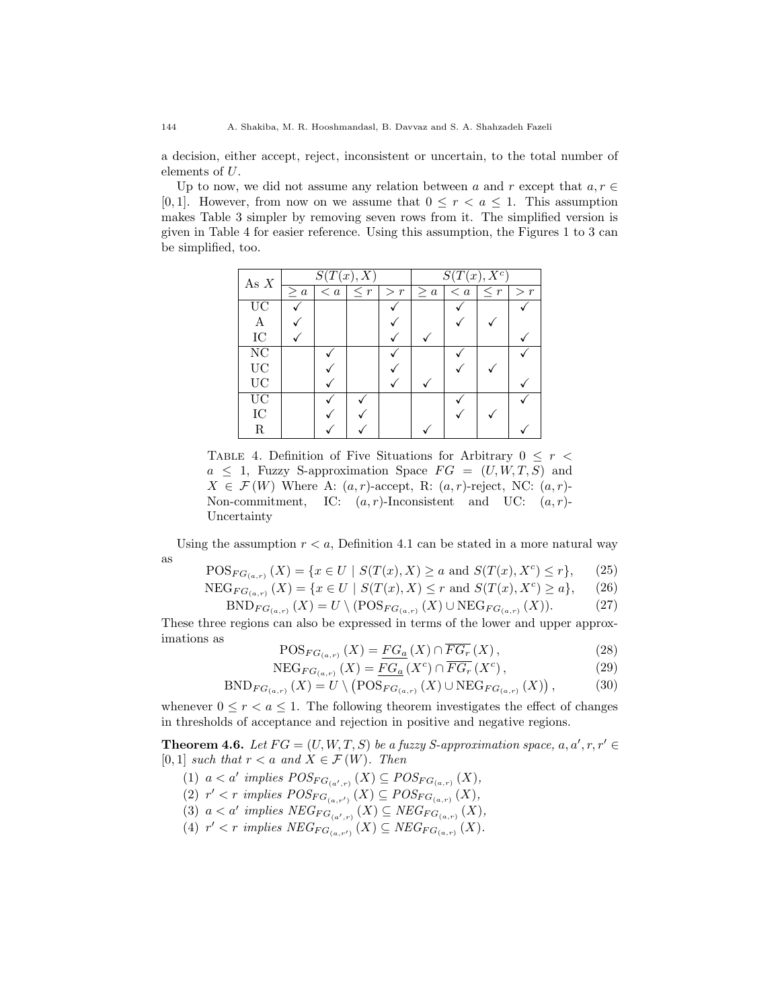a decision, either accept, reject, inconsistent or uncertain, to the total number of elements of U.

Up to now, we did not assume any relation between a and r except that  $a, r \in$ [0, 1]. However, from now on we assume that  $0 \leq r < a \leq 1$ . This assumption makes Table 3 simpler by removing seven rows from it. The simplified version is given in Table 4 for easier reference. Using this assumption, the Figures 1 to 3 can be simplified, too.

| As $X$                 | $\overline{S(T(x),X)}$ |             |          |          | $S(T(x), X^c)$ |             |          |          |
|------------------------|------------------------|-------------|----------|----------|----------------|-------------|----------|----------|
|                        | $\geq a$               | $\langle a$ | $\leq r$ | $\geq r$ | $\geq a$       | $\langle a$ | $\leq r$ | $\geq r$ |
| $\overline{UC}$        |                        |             |          |          |                |             |          |          |
| A                      |                        |             |          |          |                |             |          |          |
| ${\rm IC}$             |                        |             |          |          |                |             |          |          |
| $\overline{\text{NC}}$ |                        |             |          |          |                |             |          |          |
| $\rm UC$               |                        |             |          |          |                |             |          |          |
| $\rm UC$               |                        |             |          |          |                |             |          |          |
| $\overline{UC}$        |                        |             |          |          |                |             |          |          |
| ${\rm IC}$             |                        |             |          |          |                |             |          |          |
| $_{\rm R}$             |                        |             |          |          |                |             |          |          |

TABLE 4. Definition of Five Situations for Arbitrary  $0 \leq r <$  $a \leq 1$ , Fuzzy S-approximation Space  $FG = (U, W, T, S)$  and  $X \in \mathcal{F}(W)$  Where A:  $(a, r)$ -accept, R:  $(a, r)$ -reject, NC:  $(a, r)$ -Non-commitment, IC:  $(a, r)$ -Inconsistent and UC:  $(a, r)$ -Uncertainty

Using the assumption  $r < a$ , Definition 4.1 can be stated in a more natural way as

$$
\text{POS}_{FG_{(a,r)}}(X) = \{ x \in U \mid S(T(x), X) \ge a \text{ and } S(T(x), X^c) \le r \}, \tag{25}
$$

 $NEG_{FG_{(a,r)}}(X) = \{x \in U \mid S(T(x), X) \leq r \text{ and } S(T(x), X^{c}) \geq a\},$  (26)

$$
BND_{FG_{(a,r)}}(X) = U \setminus (POS_{FG_{(a,r)}}(X) \cup NEG_{FG_{(a,r)}}(X)).
$$
 (27)

These three regions can also be expressed in terms of the lower and upper approximations as

$$
POS_{FG_{(a,r)}}(X) = \underline{FG_a}(X) \cap \overline{FG_r}(X), \qquad (28)
$$

$$
NEG_{FG_{(a,r)}}(X) = \underline{FG_a}(X^c) \cap \overline{FG_r}(X^c), \qquad (29)
$$

$$
\text{BND}_{FG_{(a,r)}}(X) = U \setminus \left(\text{POS}_{FG_{(a,r)}}(X) \cup \text{NEG}_{FG_{(a,r)}}(X)\right),\tag{30}
$$

whenever  $0 \leq r < a \leq 1$ . The following theorem investigates the effect of changes in thresholds of acceptance and rejection in positive and negative regions.

**Theorem 4.6.** Let  $FG = (U, W, T, S)$  be a fuzzy S-approximation space, a, a', r, r' [0, 1] such that  $r < a$  and  $X \in \mathcal{F}(W)$ . Then

- (1)  $a < a'$  implies  $POS_{FG_{(a',r)}}(X) \subseteq POS_{FG_{(a,r)}}(X)$ ,
- (2)  $r' < r$  implies  $POS_{FG_{(a,r')}}(X) \subseteq POS_{FG_{(a,r)}}(X)$ ,
- (3)  $a < a'$  implies  $NEG_{FG_{(a',r)}}(X) \subseteq NEG_{FG_{(a,r)}}(X)$ ,
- (4)  $r' < r$  implies  $NEG_{FG_{(a,r')}}(X) \subseteq NEG_{FG_{(a,r)}}(X)$ .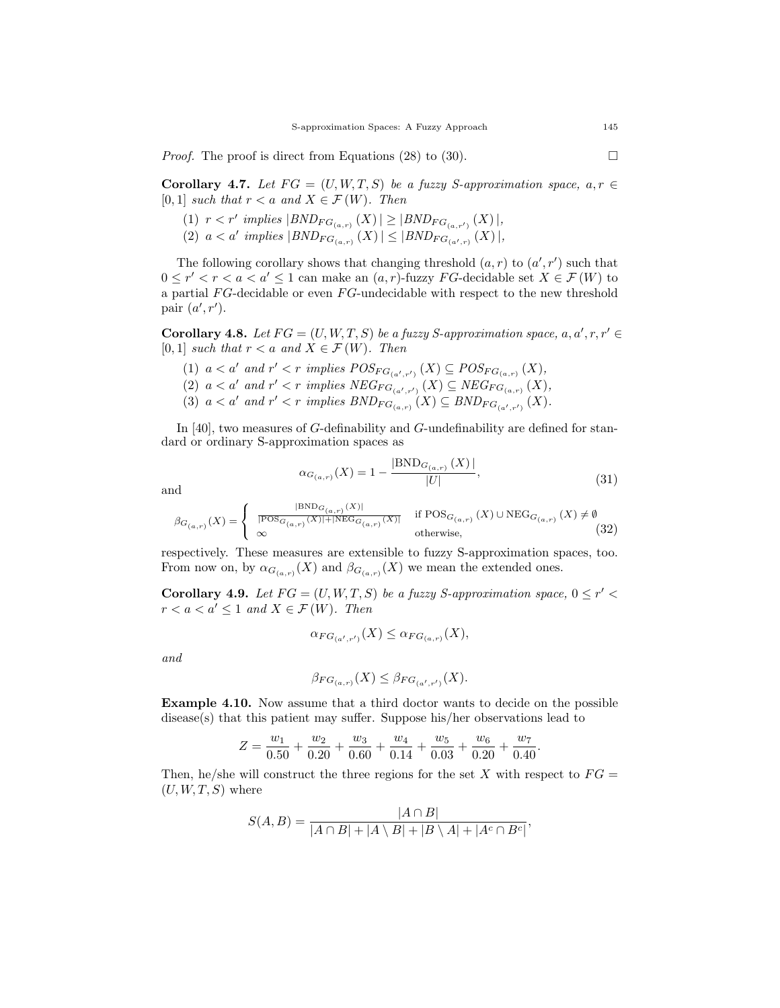*Proof.* The proof is direct from Equations (28) to (30).

Corollary 4.7. Let  $FG = (U, W, T, S)$  be a fuzzy S-approximation space,  $a, r \in$ [0, 1] such that  $r < a$  and  $X \in \mathcal{F}(W)$ . Then

- (1)  $r < r'$  implies  $|BND_{FG_{(a,r)}}(X)| \geq |BND_{FG_{(a,r')}}(X)|,$
- (2)  $a < a'$  implies  $|BND_{FG_{(a,r)}}(X)| \leq |BND_{FG_{(a',r)}}(X)|,$

The following corollary shows that changing threshold  $(a, r)$  to  $(a', r')$  such that  $0 \leq r' < r < a < a' \leq 1$  can make an  $(a, r)$ -fuzzy FG-decidable set  $X \in \mathcal{F}(W)$  to a partial  $FG$ -decidable or even  $FG$ -undecidable with respect to the new threshold pair  $(a', r')$ .

Corollary 4.8. Let  $FG = (U, W, T, S)$  be a fuzzy S-approximation space, a, a', r, r' [0, 1] such that  $r < a$  and  $X \in \mathcal{F}(W)$ . Then

- (1)  $a < a'$  and  $r' < r$  implies  $POS_{FG_{(a',r')}}(X) \subseteq POS_{FG_{(a,r)}}(X)$ , (2)  $a < a'$  and  $r' < r$  implies  $NEG_{FG_{(a',r')}}(X) \subseteq NEG_{FG_{(a,r)}}(X)$ ,
- (3)  $a < a'$  and  $r' < r$  implies  $BND_{FG_{(a,r)}}(X) \subseteq BND_{FG_{(a',r')}}(X)$ .

In [40], two measures of G-definability and G-undefinability are defined for standard or ordinary S-approximation spaces as

$$
\alpha_{G_{(a,r)}}(X) = 1 - \frac{|\text{BND}_{G_{(a,r)}}(X)|}{|U|},\tag{31}
$$

and

$$
\beta_{G_{\left(a,r\right)}}(X) = \begin{cases} \begin{array}{ll} |\text{BND}_{G_{\left(a,r\right)}}(X)| & \text{if } \text{POS}_{G_{\left(a,r\right)}}\left(X\right) \cup \text{NEG}_{G_{\left(a,r\right)}}\left(X\right) \neq \emptyset \\ \infty & \text{otherwise,} \end{array} \end{cases} \tag{32}
$$

respectively. These measures are extensible to fuzzy S-approximation spaces, too. From now on, by  $\alpha_{G_{(a,r)}}(X)$  and  $\beta_{G_{(a,r)}}(X)$  we mean the extended ones.

Corollary 4.9. Let  $FG = (U, W, T, S)$  be a fuzzy S-approximation space,  $0 \leq r' <$  $r < a < a' \leq 1$  and  $X \in \mathcal{F}(W)$ . Then

$$
\alpha_{FG_{(a',r')}}(X) \leq \alpha_{FG_{(a,r)}}(X),
$$

and

$$
\beta_{FG_{(a,r)}}(X) \leq \beta_{FG_{(a',r')}}(X).
$$

Example 4.10. Now assume that a third doctor wants to decide on the possible disease(s) that this patient may suffer. Suppose his/her observations lead to

$$
Z = \frac{w_1}{0.50} + \frac{w_2}{0.20} + \frac{w_3}{0.60} + \frac{w_4}{0.14} + \frac{w_5}{0.03} + \frac{w_6}{0.20} + \frac{w_7}{0.40}.
$$

Then, he/she will construct the three regions for the set X with respect to  $FG =$  $(U, W, T, S)$  where

$$
S(A, B) = \frac{|A \cap B|}{|A \cap B| + |A \setminus B| + |B \setminus A| + |A^c \cap B^c|},
$$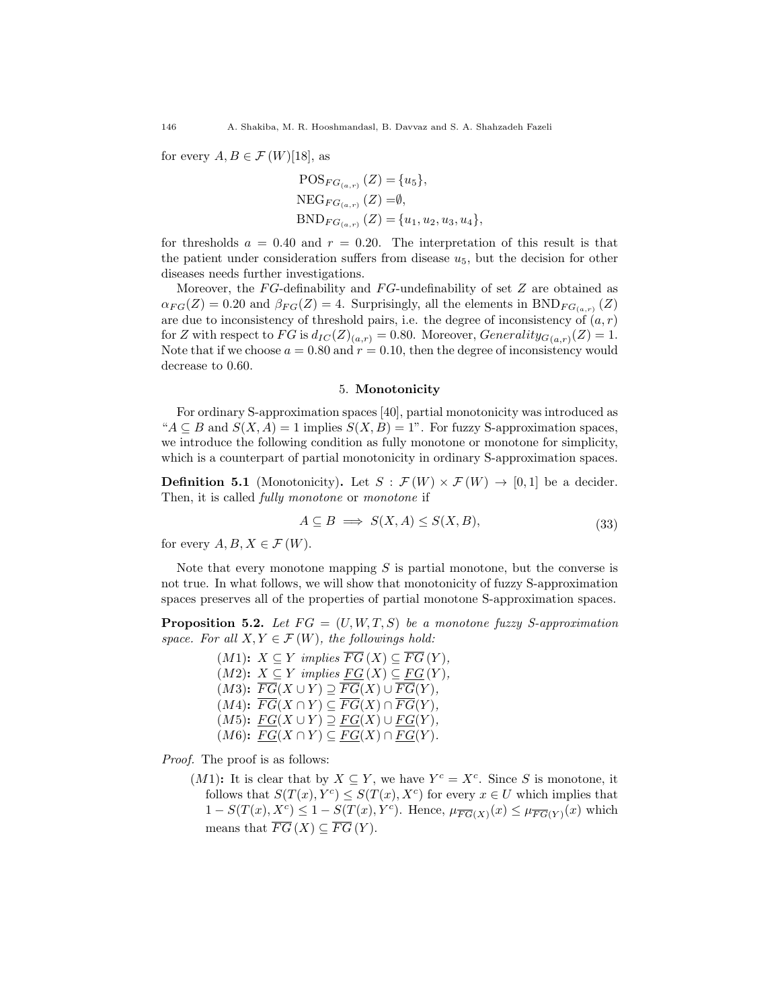for every  $A, B \in \mathcal{F}(W)[18]$ , as

$$
POS_{FG_{(a,r)}}(Z) = {u5},
$$
  
NEG<sub>FG\_{(a,r)}</sub> (Z) =Ø,  

$$
BND_{FG_{(a,r)}}(Z) = {u1, u2, u3, u4},
$$

for thresholds  $a = 0.40$  and  $r = 0.20$ . The interpretation of this result is that the patient under consideration suffers from disease  $u_5$ , but the decision for other diseases needs further investigations.

Moreover, the  $FG$ -definability and  $FG$ -undefinability of set  $Z$  are obtained as  $\alpha_{FG}(Z) = 0.20$  and  $\beta_{FG}(Z) = 4$ . Surprisingly, all the elements in BND<sub>FG<sub>(a,r)</sub> (Z)</sub> are due to inconsistency of threshold pairs, i.e. the degree of inconsistency of  $(a, r)$ for Z with respect to  $FG$  is  $d_{IC}(Z)_{(a,r)} = 0.80$ . Moreover,  $Generality_{G(a,r)}(Z) = 1$ . Note that if we choose  $a = 0.80$  and  $r = 0.10$ , then the degree of inconsistency would decrease to 0.60.

#### 5. Monotonicity

For ordinary S-approximation spaces [40], partial monotonicity was introduced as " $A \subseteq B$  and  $S(X, A) = 1$  implies  $S(X, B) = 1$ ". For fuzzy S-approximation spaces, we introduce the following condition as fully monotone or monotone for simplicity, which is a counterpart of partial monotonicity in ordinary S-approximation spaces.

**Definition 5.1** (Monotonicity). Let  $S : \mathcal{F}(W) \times \mathcal{F}(W) \rightarrow [0,1]$  be a decider. Then, it is called *fully monotone* or *monotone* if

$$
A \subseteq B \implies S(X, A) \le S(X, B),\tag{33}
$$

for every  $A, B, X \in \mathcal{F}(W)$ .

Note that every monotone mapping  $S$  is partial monotone, but the converse is not true. In what follows, we will show that monotonicity of fuzzy S-approximation spaces preserves all of the properties of partial monotone S-approximation spaces.

**Proposition 5.2.** Let  $FG = (U, W, T, S)$  be a monotone fuzzy S-approximation space. For all  $X, Y \in \mathcal{F}(W)$ , the followings hold:

> $(M1): X \subseteq Y$  implies  $\overline{FG}(X) \subseteq \overline{FG}(Y)$ ,  $(M2)$ :  $X \subseteq Y$  implies  $FG(X) \subseteq FG(Y)$ ,  $(M3): \overline{FG}(X \cup Y) \supseteq \overline{FG}(X) \cup \overline{FG}(Y),$  $(M4)$ :  $\overline{FG}(X \cap Y) \subseteq \overline{FG}(X) \cap \overline{FG}(Y)$ ,  $(M5): FG(X \cup Y) \supseteq FG(X) \cup FG(Y),$  $(M6)$ :  $FG(X \cap Y) \subseteq FG(X) \cap FG(Y)$ .

Proof. The proof is as follows:

 $(M1)$ : It is clear that by  $X \subseteq Y$ , we have  $Y^c = X^c$ . Since S is monotone, it follows that  $S(T(x), Y^c) \leq S(T(x), X^c)$  for every  $x \in U$  which implies that  $1-S(T(x),X^c) \leq 1-S(T(x),Y^c)$ . Hence,  $\mu_{\overline{FG}(X)}(x) \leq \mu_{\overline{FG}(Y)}(x)$  which means that  $\overline{FG}(X) \subset \overline{FG}(Y)$ .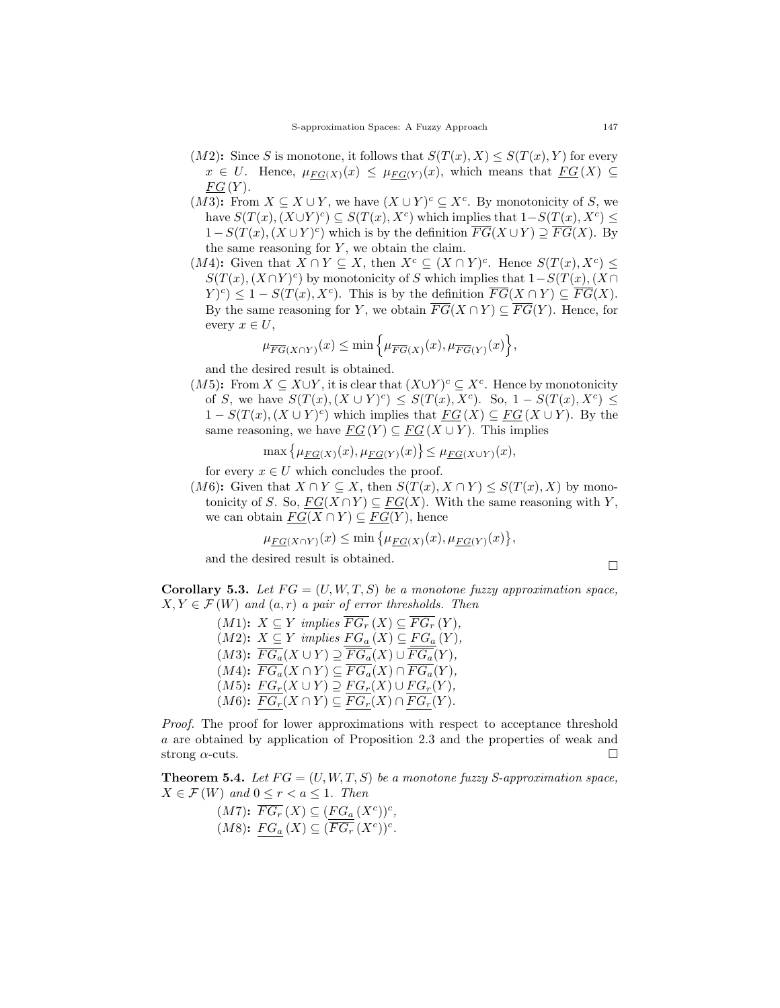- $(M2)$ : Since S is monotone, it follows that  $S(T(x), X) \leq S(T(x), Y)$  for every  $x \in U$ . Hence,  $\mu_{FG(X)}(x) \leq \mu_{FG(Y)}(x)$ , which means that  $FG(X) \subseteq$  $FG(Y)$ .
- (M3): From  $X \subseteq X \cup Y$ , we have  $(X \cup Y)^c \subseteq X^c$ . By monotonicity of S, we have  $S(T(x), (X \cup Y)^c) \subseteq S(T(x), X^c)$  which implies that  $1-S(T(x), X^c) \leq$  $1-S(T(x), (X \cup Y)^c)$  which is by the definition  $\overline{FG}(X \cup Y) \supseteq \overline{FG}(X)$ . By the same reasoning for  $Y$ , we obtain the claim.
- $(M4)$ : Given that  $X \cap Y \subseteq X$ , then  $X^c \subseteq (X \cap Y)^c$ . Hence  $S(T(x), X^c) \leq$  $S(T(x), (X \cap Y)^c)$  by monotonicity of S which implies that  $1-S(T(x), (X \cap Y)^c)$  $(Y)^c$   $\leq$  1 –  $S(T(x), X^c)$ . This is by the definition  $\overline{FG}(X \cap Y) \subseteq \overline{FG}(X)$ . By the same reasoning for Y, we obtain  $\overline{FG}(X \cap Y) \subset \overline{FG}(Y)$ . Hence, for every  $x \in U$ ,

$$
\mu_{\overline{FG}(X\cap Y)}(x) \le \min\left\{\mu_{\overline{FG}(X)}(x), \mu_{\overline{FG}(Y)}(x)\right\},\
$$

and the desired result is obtained.

 $(M5)$ : From  $X \subseteq X \cup Y$ , it is clear that  $(X \cup Y)^c \subseteq X^c$ . Hence by monotonicity of S, we have  $S(T(x), (X \cup Y)^c) \leq S(T(x), X^c)$ . So,  $1 - S(T(x), X^c) \leq$  $1-S(T(x), (X \cup Y)^c)$  which implies that  $FG(X) \subseteq FG(X \cup Y)$ . By the same reasoning, we have  $\underline{FG}(Y) \subseteq \underline{FG}(X \cup Y)$ . This implies

$$
\max\left\{\mu_{FG(X)}(x), \mu_{FG(Y)}(x)\right\} \leq \mu_{FG(X \cup Y)}(x),
$$

for every  $x \in U$  which concludes the proof.

 $(M6)$ : Given that  $X \cap Y \subseteq X$ , then  $S(T(x), X \cap Y) \leq S(T(x), X)$  by monotonicity of S. So,  $FG(X \cap Y) \subseteq FG(X)$ . With the same reasoning with Y, we can obtain  $FG(X \cap Y) \subseteq FG(Y)$ , hence

$$
\mu_{FG(X \cap Y)}(x) \le \min \{ \mu_{FG(X)}(x), \mu_{FG(Y)}(x) \},
$$

and the desired result is obtained.  $\hfill \square$ 

**Corollary 5.3.** Let  $FG = (U, W, T, S)$  be a monotone fuzzy approximation space,  $X, Y \in \mathcal{F}(W)$  and  $(a, r)$  a pair of error thresholds. Then

> $(M1): X \subseteq Y$  implies  $\overline{FG_r}(X) \subseteq \overline{FG_r}(Y)$ , (M2):  $X \subseteq Y$  implies  $\underline{FG_a}(X) \subseteq \underline{FG_a}(Y)$ ,  $(M3)$ :  $\overline{FG_a}(X \cup Y) \supseteq \overline{FG_a}(X) \cup \overline{FG_a}(Y)$ ,  $(M4)$ :  $\overline{FG_a}(X \cap Y) \subseteq \overline{FG_a}(X) \cap \overline{FG_a}(Y)$ ,  $(M5): FG_r(X \cup Y) \supseteq FG_r(X) \cup FG_r(Y),$  $(M6)$ :  $\overline{FG_r}(X \cap Y) \subseteq \overline{FG_r}(X) \cap \overline{FG_r}(Y)$ .

Proof. The proof for lower approximations with respect to acceptance threshold a are obtained by application of Proposition 2.3 and the properties of weak and strong  $\alpha$ -cuts.

**Theorem 5.4.** Let  $FG = (U, W, T, S)$  be a monotone fuzzy S-approximation space,  $X \in \mathcal{F}(W)$  and  $0 \leq r < a \leq 1$ . Then

$$
(M7): \overline{FG_r}(X) \subseteq (\underline{FG_a}(X^c))^c,
$$
  

$$
(M8): \underline{FG_a}(X) \subseteq (\overline{FG_r}(X^c))^c.
$$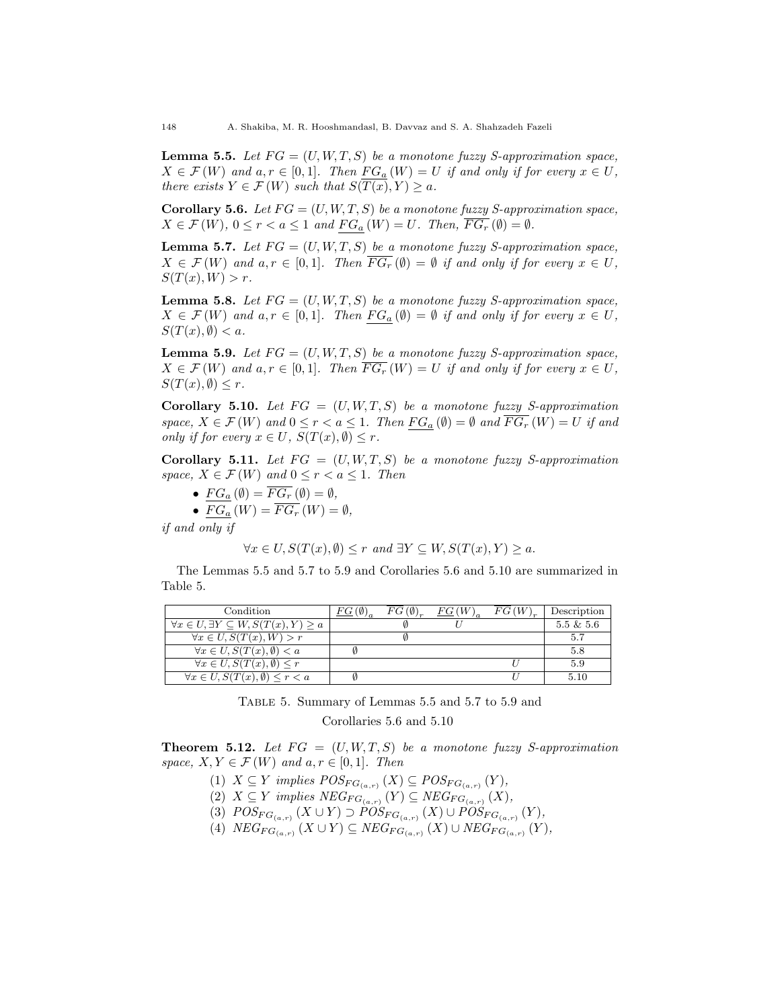**Lemma 5.5.** Let  $FG = (U, W, T, S)$  be a monotone fuzzy S-approximation space,  $X \in \mathcal{F}(W)$  and  $a, r \in [0,1]$ . Then  $FG_a(W) = U$  if and only if for every  $x \in U$ , there exists  $Y \in \mathcal{F}(W)$  such that  $S(T(x), Y) \geq a$ .

Corollary 5.6. Let  $FG = (U, W, T, S)$  be a monotone fuzzy S-approximation space,  $X \in \mathcal{F}(W)$ ,  $0 \leq r < a \leq 1$  and  $FG_a(W) = U$ . Then,  $\overline{FG_r}(\emptyset) = \emptyset$ .

**Lemma 5.7.** Let  $FG = (U, W, T, S)$  be a monotone fuzzy S-approximation space,  $X \in \mathcal{F}(W)$  and  $a, r \in [0,1]$ . Then  $\overline{FG_r}(\emptyset) = \emptyset$  if and only if for every  $x \in U$ ,  $S(T(x), W) > r.$ 

**Lemma 5.8.** Let  $FG = (U, W, T, S)$  be a monotone fuzzy S-approximation space,  $X \in \mathcal{F}(W)$  and  $a, r \in [0,1]$ . Then  $FG_a(\emptyset) = \emptyset$  if and only if for every  $x \in U$ ,  $S(T(x), \emptyset) < a.$ 

**Lemma 5.9.** Let  $FG = (U, W, T, S)$  be a monotone fuzzy S-approximation space,  $X \in \mathcal{F}(W)$  and  $a, r \in [0,1]$ . Then  $\overline{FG_r}(W) = U$  if and only if for every  $x \in U$ ,  $S(T(x), \emptyset) \leq r$ .

Corollary 5.10. Let  $FG = (U, W, T, S)$  be a monotone fuzzy S-approximation space,  $X \in \mathcal{F}(W)$  and  $0 \leq r < a \leq 1$ . Then  $FG_a(\emptyset) = \emptyset$  and  $\overline{FG_r}(W) = U$  if and only if for every  $x \in U$ ,  $S(T(x), \emptyset) \leq r$ .

**Corollary 5.11.** Let  $FG = (U, W, T, S)$  be a monotone fuzzy S-approximation space,  $X \in \mathcal{F}(W)$  and  $0 \leq r < a \leq 1$ . Then

- $FG_a (\emptyset) = \overline{FG_r} (\emptyset) = \emptyset,$
- $FG_a(W) = \overline{FG_r}(W) = \emptyset,$

if and only if

$$
\forall x \in U, S(T(x), \emptyset) \le r \text{ and } \exists Y \subseteq W, S(T(x), Y) \ge a.
$$

The Lemmas 5.5 and 5.7 to 5.9 and Corollaries 5.6 and 5.10 are summarized in Table 5.

| Condition                                                   | $FG(\emptyset)_a$ | $FG(\emptyset)$ | FG(W) | FG(W) | Description  |
|-------------------------------------------------------------|-------------------|-----------------|-------|-------|--------------|
| $\forall x \in U, \exists Y \subseteq W, S(T(x), Y) \geq a$ |                   |                 |       |       | $5.5 \& 5.6$ |
| $\forall x \in U, S(T(x), W) > r$                           |                   |                 |       |       | 5.7          |
| $\forall x \in U, S(T(x), \emptyset) < a$                   |                   |                 |       |       | 5.8          |
| $\forall x \in U, S(T(x), \emptyset) \leq r$                |                   |                 |       |       | 5.9          |
| $\forall x \in U, S(T(x), \emptyset) \leq r \leq a$         |                   |                 |       |       | 5.10         |

Table 5. Summary of Lemmas 5.5 and 5.7 to 5.9 and

Corollaries 5.6 and 5.10

**Theorem 5.12.** Let  $FG = (U, W, T, S)$  be a monotone fuzzy S-approximation space,  $X, Y \in \mathcal{F}(W)$  and  $a, r \in [0,1]$ . Then

- (1)  $X \subseteq Y$  implies  $POS_{FG_{(a,r)}}(X) \subseteq POS_{FG_{(a,r)}}(Y)$ ,
- (2)  $X \subseteq Y$  implies  $NEG_{FG_{(a,r)}}(Y) \subseteq NEG_{FG_{(a,r)}}(X)$ ,
- (3)  $POS_{FG_{(a,r)}}(X \cup Y) \supset POS_{FG_{(a,r)}}(X) \cup POS_{FG_{(a,r)}}(Y),$
- (4)  $NEG_{FG_{(a,r)}}(X \cup Y) \subseteq NEG_{FG_{(a,r)}}(X) \cup NEG_{FG_{(a,r)}}(Y),$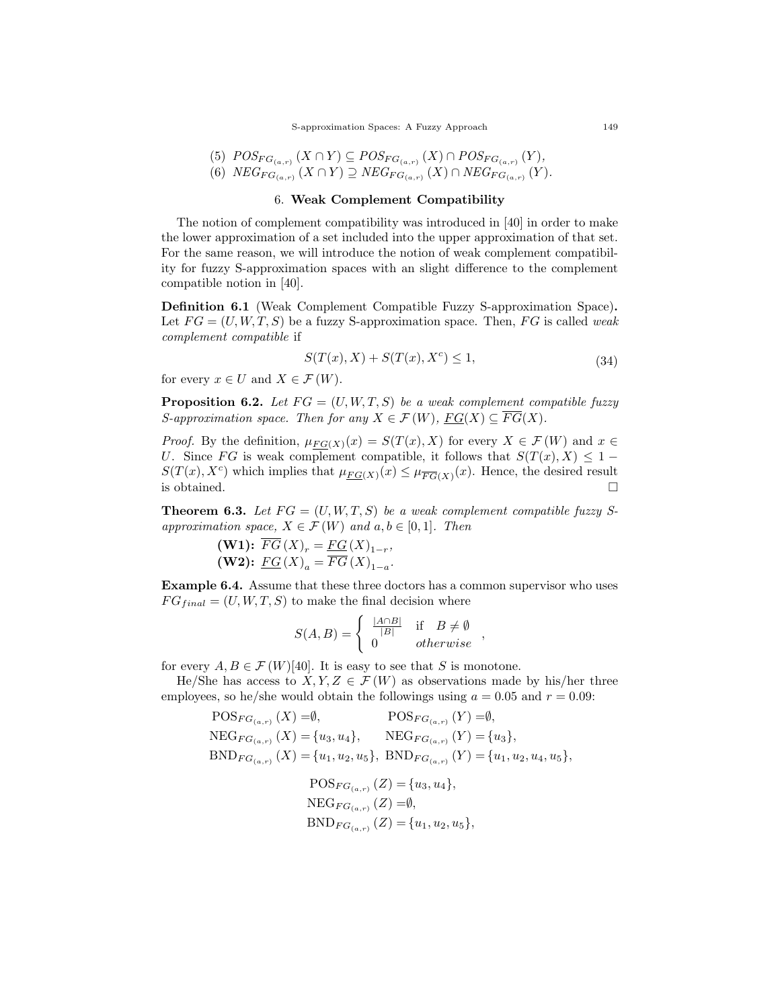(5)  $POS_{FG_{(a,r)}}(X \cap Y) \subseteq POS_{FG_{(a,r)}}(X) \cap POS_{FG_{(a,r)}}(Y),$ (6)  $NEG_{FG_{(a,r)}}(X\cap Y)\supseteq NEG_{FG_{(a,r)}}(X)\cap NEG_{FG_{(a,r)}}(Y).$ 

### 6. Weak Complement Compatibility

The notion of complement compatibility was introduced in [40] in order to make the lower approximation of a set included into the upper approximation of that set. For the same reason, we will introduce the notion of weak complement compatibility for fuzzy S-approximation spaces with an slight difference to the complement compatible notion in [40].

Definition 6.1 (Weak Complement Compatible Fuzzy S-approximation Space). Let  $FG = (U, W, T, S)$  be a fuzzy S-approximation space. Then, FG is called weak complement compatible if

$$
S(T(x), X) + S(T(x), X^{c}) \le 1,
$$
\n(34)

,

for every  $x \in U$  and  $X \in \mathcal{F}(W)$ .

**Proposition 6.2.** Let  $FG = (U, W, T, S)$  be a weak complement compatible fuzzy S-approximation space. Then for any  $X \in \mathcal{F}(W)$ ,  $\underline{FG}(X) \subseteq \overline{FG}(X)$ .

*Proof.* By the definition,  $\mu_{FG(X)}(x) = S(T(x), X)$  for every  $X \in \mathcal{F}(W)$  and  $x \in$ U. Since FG is weak complement compatible, it follows that  $S(T(x), X) \leq 1$  $S(T(x), X^c)$  which implies that  $\mu_{FG(X)}(x) \leq \mu_{FG(X)}(x)$ . Hence, the desired result is obtained.  $\square$ 

**Theorem 6.3.** Let  $FG = (U, W, T, S)$  be a weak complement compatible fuzzy Sapproximation space,  $X \in \mathcal{F}(W)$  and  $a, b \in [0, 1]$ . Then

(**W1**): 
$$
\overline{FG}(X)_r = \underline{FG}(X)_{1-r}
$$
,  
(**W2**):  $\underline{FG}(X)_a = \overline{FG}(X)_{1-a}$ .

Example 6.4. Assume that these three doctors has a common supervisor who uses  $FG_{final} = (U, W, T, S)$  to make the final decision where

$$
S(A, B) = \begin{cases} \frac{|A \cap B|}{|B|} & \text{if } B \neq \emptyset \\ 0 & otherwise \end{cases}
$$

for every  $A, B \in \mathcal{F}(W)[40]$ . It is easy to see that S is monotone.

He/She has access to  $X, Y, Z \in \mathcal{F}(W)$  as observations made by his/her three employees, so he/she would obtain the followings using  $a = 0.05$  and  $r = 0.09$ :

$$
POS_{FG_{(a,r)}}(X) = \emptyset, \tPOS_{FG_{(a,r)}}(Y) = \emptyset, \nNEG_{FG_{(a,r)}}(X) = \{u_3, u_4\}, \tNEG_{FG_{(a,r)}}(Y) = \{u_3\}, \nBND_{FG_{(a,r)}}(X) = \{u_1, u_2, u_5\}, \tBND_{FG_{(a,r)}}(Y) = \{u_1, u_2, u_4, u_5\},
$$

$$
POS_{FG_{(a,r)}}(Z) = \{u_3, u_4\},
$$
  
NEG<sub>FG\_{(a,r)}}(Z) = \emptyset,  
BND\_{FG\_{(a,r)}}(Z) = \{u\_1, u\_2, u\_5\},</sub>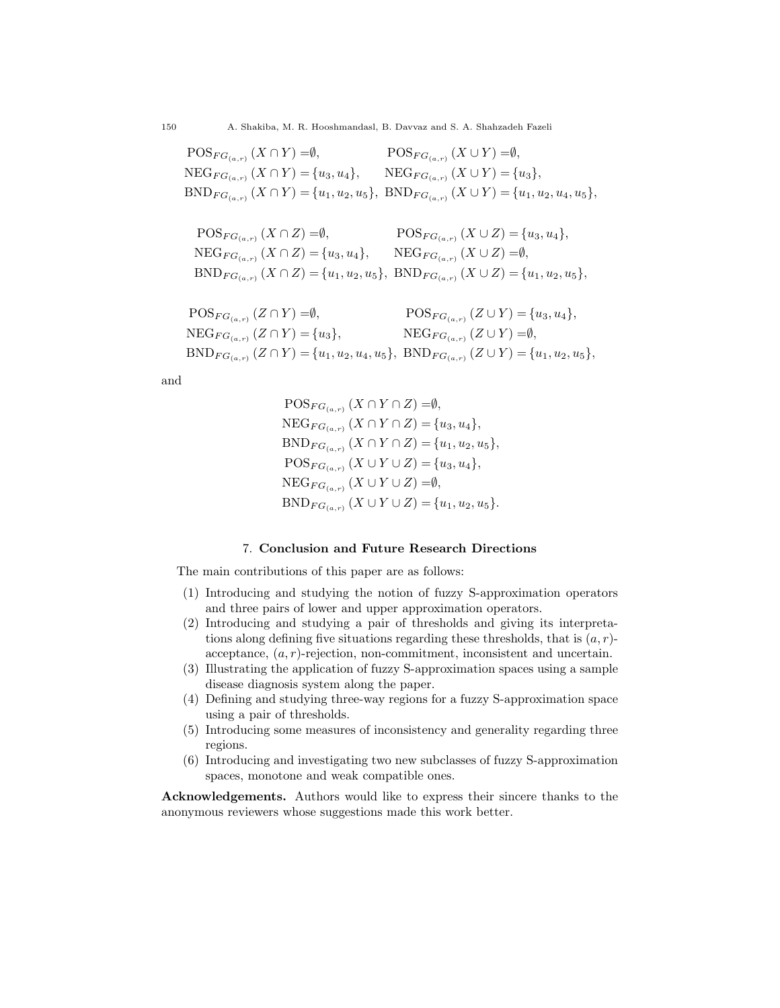$\mathrm{POS}_{FG_{(a,r)}}(X\cap Y)=\emptyset,$  $NEG_{FG_{(a,r)}}(X\cap Y) = \{u_3, u_4\}, \qquad \text{NEG}_{FG_{(a,r)}}(X\cup Y) = \{u_3\},\$  $BND_{FG_{(a,r)}}(X \cap Y) = \{u_1, u_2, u_5\}, \ BND_{FG_{(a,r)}}(X \cup Y) = \{u_1, u_2, u_4, u_5\},\$  $\mathrm{POS}_{FG_{(a,r)}}(X\cup Y)=\emptyset,$ 

$$
\begin{aligned}\n\text{POS}_{FG_{(a,r)}}(X \cap Z) &= \emptyset, & \text{POS}_{FG_{(a,r)}}(X \cup Z) &= \{u_3, u_4\}, \\
\text{NEG}_{FG_{(a,r)}}(X \cap Z) &= \{u_3, u_4\}, & \text{NEG}_{FG_{(a,r)}}(X \cup Z) &= \emptyset, \\
\text{BND}_{FG_{(a,r)}}(X \cap Z) &= \{u_1, u_2, u_5\}, & \text{BND}_{FG_{(a,r)}}(X \cup Z) &= \{u_1, u_2, u_5\},\n\end{aligned}
$$

```
\mathrm{POS}_{FG_{(a,r)}}(Z \cap Y) = \emptyset,NEG_{FG_{(a,r)}}(Z\cap Y)={u_3},BND_{FG_{(a,r)}}(Z \cap Y) = \{u_1, u_2, u_4, u_5\}, \ BND_{FG_{(a,r)}}(Z \cup Y) = \{u_1, u_2, u_5\},\POS_{FG_{(a,r)}}(Z \cup Y) = \{u_3, u_4\},\NEG_{FG_{(a,r)}}(Z\cup Y)=\emptyset,
```
and

 $\mathrm{POS}_{FG_{(a,r)}}(X\cap Y\cap Z)=\emptyset,$  $NEG_{FG_{(a,r)}}(X\cap Y\cap Z)=\{u_3,u_4\},\$  $BND_{FG_{(a,r)}}(X \cap Y \cap Z) = \{u_1, u_2, u_5\},\$  $POS_{FG_{(a,r)}}(X\cup Y\cup Z)=\{u_3,u_4\},\$  $NEG_{FG_{(a,r)}}(X\cup Y\cup Z)=\emptyset,$  $BND_{FG_{(a,r)}}(X\cup Y\cup Z)=\{u_1,u_2,u_5\}.$ 

# 7. Conclusion and Future Research Directions

The main contributions of this paper are as follows:

- (1) Introducing and studying the notion of fuzzy S-approximation operators and three pairs of lower and upper approximation operators.
- (2) Introducing and studying a pair of thresholds and giving its interpretations along defining five situations regarding these thresholds, that is  $(a, r)$ acceptance,  $(a, r)$ -rejection, non-commitment, inconsistent and uncertain.
- (3) Illustrating the application of fuzzy S-approximation spaces using a sample disease diagnosis system along the paper.
- (4) Defining and studying three-way regions for a fuzzy S-approximation space using a pair of thresholds.
- (5) Introducing some measures of inconsistency and generality regarding three regions.
- (6) Introducing and investigating two new subclasses of fuzzy S-approximation spaces, monotone and weak compatible ones.

Acknowledgements. Authors would like to express their sincere thanks to the anonymous reviewers whose suggestions made this work better.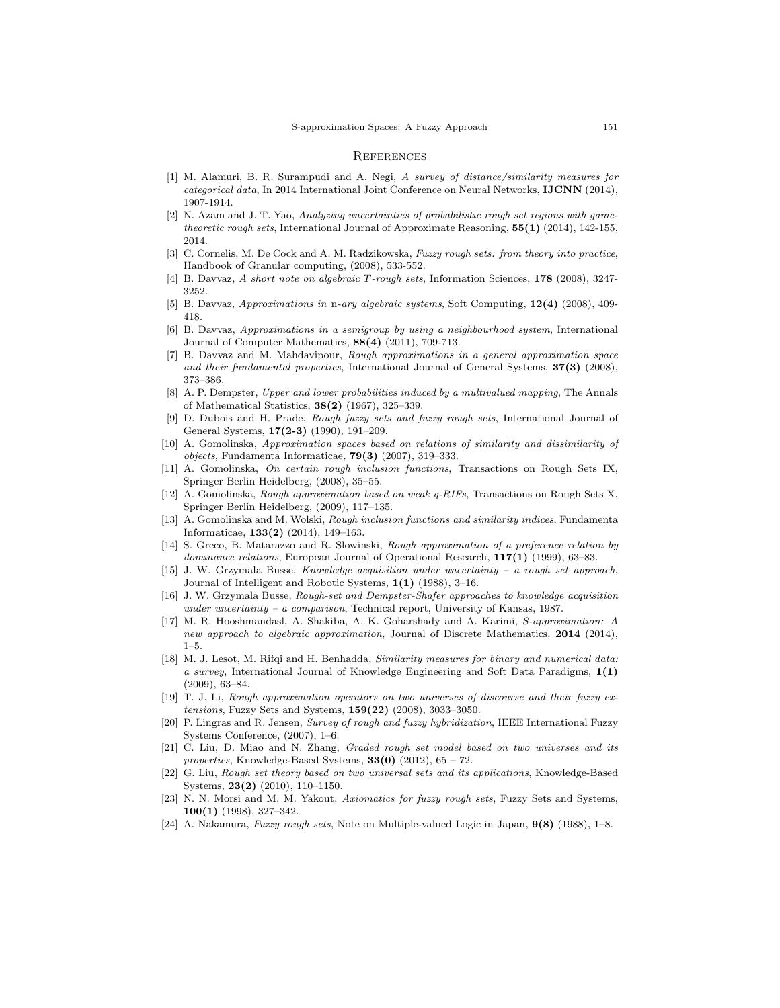#### **REFERENCES**

- [1] M. Alamuri, B. R. Surampudi and A. Negi, A survey of distance/similarity measures for categorical data, In 2014 International Joint Conference on Neural Networks, IJCNN (2014), 1907-1914.
- [2] N. Azam and J. T. Yao, Analyzing uncertainties of probabilistic rough set regions with gametheoretic rough sets, International Journal of Approximate Reasoning,  $55(1)$  (2014), 142-155, 2014.
- [3] C. Cornelis, M. De Cock and A. M. Radzikowska, *Fuzzy rough sets: from theory into practice*, Handbook of Granular computing, (2008), 533-552.
- [4] B. Davvaz, A short note on algebraic T-rough sets, Information Sciences, 178 (2008), 3247- 3252.
- [5] B. Davvaz, Approximations in n-ary algebraic systems, Soft Computing, 12(4) (2008), 409- 418.
- [6] B. Davvaz, Approximations in a semigroup by using a neighbourhood system, International Journal of Computer Mathematics, 88(4) (2011), 709-713.
- [7] B. Davvaz and M. Mahdavipour, Rough approximations in a general approximation space and their fundamental properties, International Journal of General Systems,  $37(3)$  (2008), 373–386.
- [8] A. P. Dempster, Upper and lower probabilities induced by a multivalued mapping, The Annals of Mathematical Statistics, 38(2) (1967), 325–339.
- [9] D. Dubois and H. Prade, Rough fuzzy sets and fuzzy rough sets, International Journal of General Systems, 17(2-3) (1990), 191–209.
- [10] A. Gomolinska, Approximation spaces based on relations of similarity and dissimilarity of objects, Fundamenta Informaticae,  $79(3)$  (2007), 319–333.
- [11] A. Gomolinska, On certain rough inclusion functions, Transactions on Rough Sets IX, Springer Berlin Heidelberg, (2008), 35–55.
- [12] A. Gomolinska, Rough approximation based on weak q-RIFs, Transactions on Rough Sets X, Springer Berlin Heidelberg, (2009), 117–135.
- [13] A. Gomolinska and M. Wolski, Rough inclusion functions and similarity indices, Fundamenta Informaticae, 133(2) (2014), 149–163.
- [14] S. Greco, B. Matarazzo and R. Slowinski, Rough approximation of a preference relation by dominance relations, European Journal of Operational Research,  $117(1)$  (1999), 63–83.
- [15] J. W. Grzymala Busse, Knowledge acquisition under uncertainty a rough set approach, Journal of Intelligent and Robotic Systems, 1(1) (1988), 3–16.
- [16] J. W. Grzymala Busse, Rough-set and Dempster-Shafer approaches to knowledge acquisition under uncertainty – a comparison, Technical report, University of Kansas, 1987.
- [17] M. R. Hooshmandasl, A. Shakiba, A. K. Goharshady and A. Karimi, S-approximation: A new approach to algebraic approximation, Journal of Discrete Mathematics, 2014 (2014),  $1 - 5$ .
- [18] M. J. Lesot, M. Rifqi and H. Benhadda, Similarity measures for binary and numerical data: a survey, International Journal of Knowledge Engineering and Soft Data Paradigms, 1(1) (2009), 63–84.
- [19] T. J. Li, Rough approximation operators on two universes of discourse and their fuzzy extensions, Fuzzy Sets and Systems, 159(22) (2008), 3033–3050.
- [20] P. Lingras and R. Jensen, Survey of rough and fuzzy hybridization, IEEE International Fuzzy Systems Conference, (2007), 1–6.
- [21] C. Liu, D. Miao and N. Zhang, Graded rough set model based on two universes and its properties, Knowledge-Based Systems,  $33(0)$  (2012),  $65 - 72$ .
- [22] G. Liu, Rough set theory based on two universal sets and its applications, Knowledge-Based Systems, 23(2) (2010), 110–1150.
- [23] N. N. Morsi and M. M. Yakout, Axiomatics for fuzzy rough sets, Fuzzy Sets and Systems, 100(1) (1998), 327–342.
- [24] A. Nakamura, Fuzzy rough sets, Note on Multiple-valued Logic in Japan,  $9(8)$  (1988), 1–8.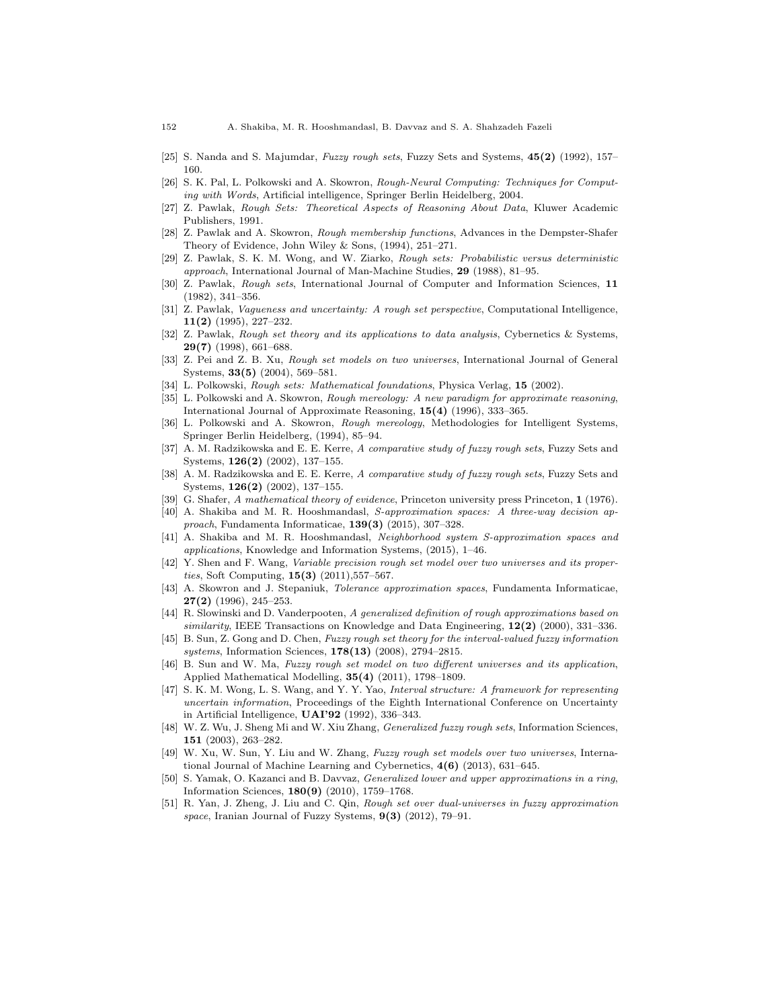- [25] S. Nanda and S. Majumdar, Fuzzy rough sets, Fuzzy Sets and Systems, 45(2) (1992), 157– 160.
- [26] S. K. Pal, L. Polkowski and A. Skowron, Rough-Neural Computing: Techniques for Computing with Words, Artificial intelligence, Springer Berlin Heidelberg, 2004.
- Z. Pawlak, Rough Sets: Theoretical Aspects of Reasoning About Data, Kluwer Academic Publishers, 1991.
- [28] Z. Pawlak and A. Skowron, Rough membership functions, Advances in the Dempster-Shafer Theory of Evidence, John Wiley & Sons, (1994), 251–271.
- [29] Z. Pawlak, S. K. M. Wong, and W. Ziarko, Rough sets: Probabilistic versus deterministic approach, International Journal of Man-Machine Studies, 29 (1988), 81–95.
- [30] Z. Pawlak, Rough sets, International Journal of Computer and Information Sciences, 11 (1982), 341–356.
- [31] Z. Pawlak, Vagueness and uncertainty: A rough set perspective, Computational Intelligence, 11(2) (1995), 227–232.
- [32] Z. Pawlak, Rough set theory and its applications to data analysis, Cybernetics & Systems, 29(7) (1998), 661–688.
- [33] Z. Pei and Z. B. Xu, Rough set models on two universes, International Journal of General Systems, 33(5) (2004), 569–581.
- [34] L. Polkowski, Rough sets: Mathematical foundations, Physica Verlag, 15 (2002).
- [35] L. Polkowski and A. Skowron, Rough mereology: A new paradigm for approximate reasoning, International Journal of Approximate Reasoning, 15(4) (1996), 333–365.
- [36] L. Polkowski and A. Skowron, Rough mereology, Methodologies for Intelligent Systems, Springer Berlin Heidelberg, (1994), 85–94.
- [37] A. M. Radzikowska and E. E. Kerre, A comparative study of fuzzy rough sets, Fuzzy Sets and Systems, 126(2) (2002), 137–155.
- [38] A. M. Radzikowska and E. E. Kerre, A comparative study of fuzzy rough sets, Fuzzy Sets and Systems, 126(2) (2002), 137–155.
- [39] G. Shafer, A mathematical theory of evidence, Princeton university press Princeton, 1 (1976).
- [40] A. Shakiba and M. R. Hooshmandasl, S-approximation spaces: A three-way decision approach, Fundamenta Informaticae, 139(3) (2015), 307–328.
- [41] A. Shakiba and M. R. Hooshmandasl, Neighborhood system S-approximation spaces and applications, Knowledge and Information Systems, (2015), 1–46.
- [42] Y. Shen and F. Wang, Variable precision rough set model over two universes and its properties, Soft Computing, 15(3) (2011),557–567.
- [43] A. Skowron and J. Stepaniuk, Tolerance approximation spaces, Fundamenta Informaticae, 27(2) (1996), 245–253.
- [44] R. Slowinski and D. Vanderpooten, A generalized definition of rough approximations based on similarity, IEEE Transactions on Knowledge and Data Engineering,  $12(2)$  (2000), 331–336.
- [45] B. Sun, Z. Gong and D. Chen, Fuzzy rough set theory for the interval-valued fuzzy information systems, Information Sciences,  $178(13)$  (2008), 2794-2815.
- [46] B. Sun and W. Ma, Fuzzy rough set model on two different universes and its application, Applied Mathematical Modelling, 35(4) (2011), 1798–1809.
- [47] S. K. M. Wong, L. S. Wang, and Y. Y. Yao, Interval structure: A framework for representing uncertain information, Proceedings of the Eighth International Conference on Uncertainty in Artificial Intelligence, UAI'92 (1992), 336–343.
- [48] W. Z. Wu, J. Sheng Mi and W. Xiu Zhang, Generalized fuzzy rough sets, Information Sciences, 151 (2003), 263–282.
- [49] W. Xu, W. Sun, Y. Liu and W. Zhang, Fuzzy rough set models over two universes, International Journal of Machine Learning and Cybernetics,  $4(6)$  (2013), 631–645.
- [50] S. Yamak, O. Kazanci and B. Davvaz, Generalized lower and upper approximations in a ring, Information Sciences, 180(9) (2010), 1759–1768.
- [51] R. Yan, J. Zheng, J. Liu and C. Qin, Rough set over dual-universes in fuzzy approximation space, Iranian Journal of Fuzzy Systems,  $9(3)$  (2012), 79–91.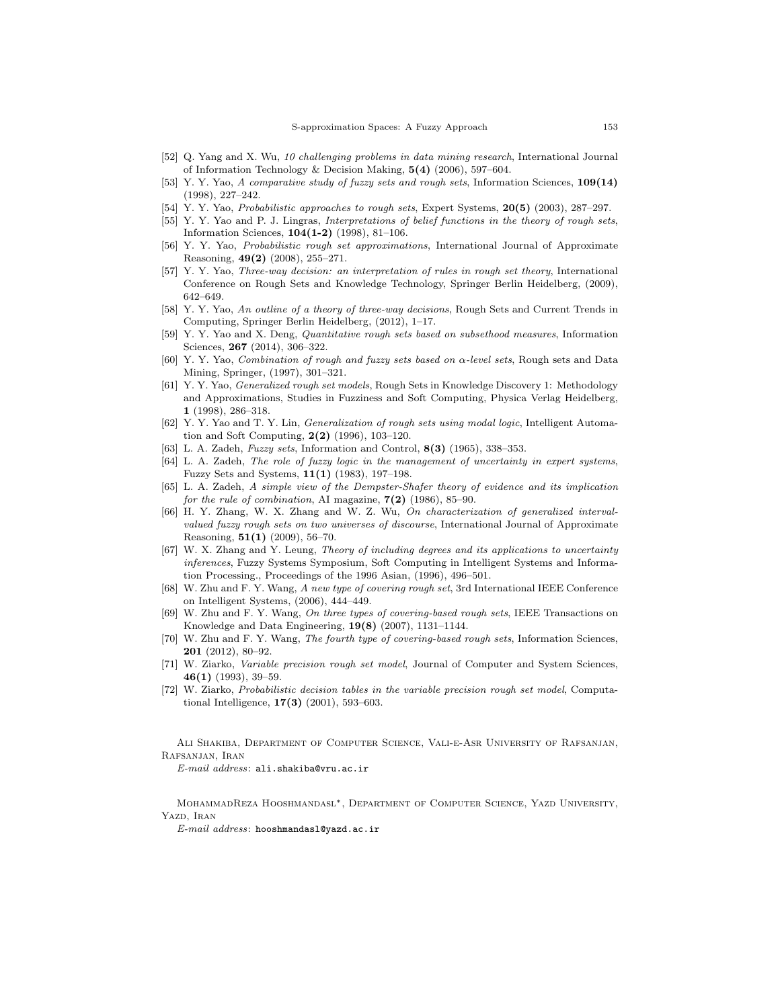- [52] Q. Yang and X. Wu, 10 challenging problems in data mining research, International Journal of Information Technology & Decision Making, 5(4) (2006), 597–604.
- [53] Y. Y. Yao, A comparative study of fuzzy sets and rough sets, Information Sciences, 109(14) (1998), 227–242.
- [54] Y. Y. Yao, Probabilistic approaches to rough sets, Expert Systems, 20(5) (2003), 287–297.
- [55] Y. Y. Yao and P. J. Lingras, Interpretations of belief functions in the theory of rough sets, Information Sciences, 104(1-2) (1998), 81–106.
- [56] Y. Y. Yao, Probabilistic rough set approximations, International Journal of Approximate Reasoning, 49(2) (2008), 255–271.
- [57] Y. Y. Yao, Three-way decision: an interpretation of rules in rough set theory, International Conference on Rough Sets and Knowledge Technology, Springer Berlin Heidelberg, (2009), 642–649.
- [58] Y. Y. Yao, An outline of a theory of three-way decisions, Rough Sets and Current Trends in Computing, Springer Berlin Heidelberg, (2012), 1–17.
- [59] Y. Y. Yao and X. Deng, *Quantitative rough sets based on subsethood measures*, Information Sciences, **267** (2014), 306-322.
- [60] Y. Y. Yao, Combination of rough and fuzzy sets based on α-level sets, Rough sets and Data Mining, Springer, (1997), 301–321.
- [61] Y. Y. Yao, Generalized rough set models, Rough Sets in Knowledge Discovery 1: Methodology and Approximations, Studies in Fuzziness and Soft Computing, Physica Verlag Heidelberg, 1 (1998), 286–318.
- [62] Y. Y. Yao and T. Y. Lin, Generalization of rough sets using modal logic, Intelligent Automation and Soft Computing, 2(2) (1996), 103–120.
- [63] L. A. Zadeh, *Fuzzy sets*, Information and Control, **8(3)** (1965), 338–353.
- [64] L. A. Zadeh, The role of fuzzy logic in the management of uncertainty in expert systems, Fuzzy Sets and Systems, 11(1) (1983), 197–198.
- [65] L. A. Zadeh, A simple view of the Dempster-Shafer theory of evidence and its implication for the rule of combination, AI magazine,  $7(2)$  (1986), 85–90.
- [66] H. Y. Zhang, W. X. Zhang and W. Z. Wu, On characterization of generalized intervalvalued fuzzy rough sets on two universes of discourse, International Journal of Approximate Reasoning, 51(1) (2009), 56–70.
- [67] W. X. Zhang and Y. Leung, Theory of including degrees and its applications to uncertainty inferences, Fuzzy Systems Symposium, Soft Computing in Intelligent Systems and Information Processing., Proceedings of the 1996 Asian, (1996), 496–501.
- [68] W. Zhu and F. Y. Wang, A new type of covering rough set, 3rd International IEEE Conference on Intelligent Systems, (2006), 444–449.
- [69] W. Zhu and F. Y. Wang, On three types of covering-based rough sets, IEEE Transactions on Knowledge and Data Engineering, 19(8) (2007), 1131–1144.
- [70] W. Zhu and F. Y. Wang, The fourth type of covering-based rough sets, Information Sciences, 201 (2012), 80–92.
- [71] W. Ziarko, Variable precision rough set model, Journal of Computer and System Sciences, 46(1) (1993), 39–59.
- [72] W. Ziarko, Probabilistic decision tables in the variable precision rough set model, Computational Intelligence, 17(3) (2001), 593–603.

Ali Shakiba, Department of Computer Science, Vali-e-Asr University of Rafsanjan, Rafsanjan, Iran

E-mail address: ali.shakiba@vru.ac.ir

MohammadReza Hooshmandasl∗, Department of Computer Science, Yazd University, YAZD. IRAN

E-mail address: hooshmandasl@yazd.ac.ir